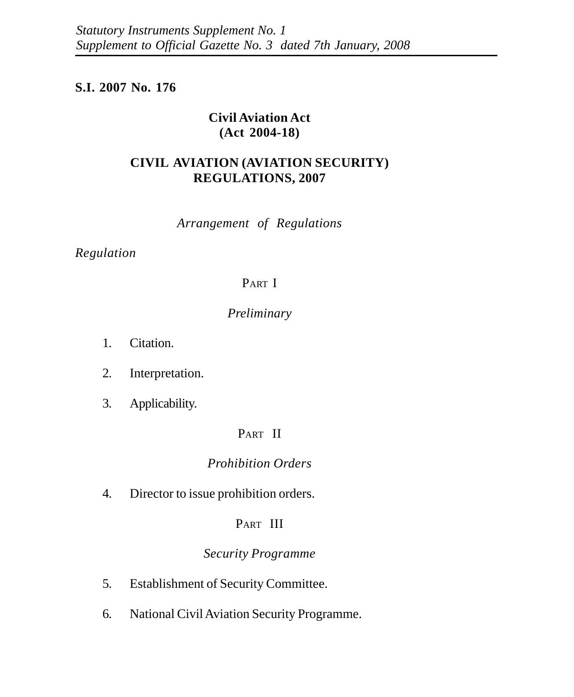## **S.I. 2007 No. 176**

## **Civil Aviation Act (Act 2004-18)**

# **CIVIL AVIATION (AVIATION SECURITY) REGULATIONS, 2007**

*Arrangement of Regulations*

## *Regulation*

# PART I

# *Preliminary*

- 1. Citation.
- 2. Interpretation.
- 3. Applicability.

# PART II

# *Prohibition Orders*

4. Director to issue prohibition orders.

# PART III

# *Security Programme*

- 5. Establishment of Security Committee.
- 6. National Civil Aviation Security Programme.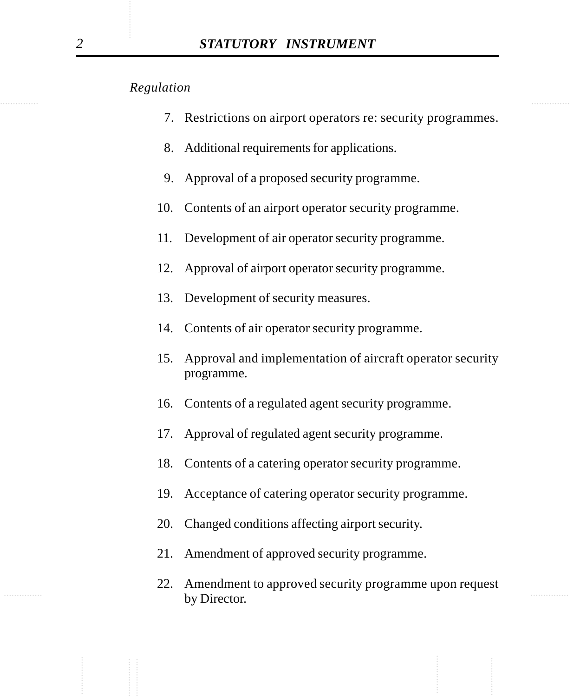- 7. Restrictions on airport operators re: security programmes.
- 8. Additional requirements for applications.
- 9. Approval of a proposed security programme.
- 10. Contents of an airport operator security programme.
- 11. Development of air operator security programme.
- 12. Approval of airport operator security programme.
- 13. Development of security measures.
- 14. Contents of air operator security programme.
- 15. Approval and implementation of aircraft operator security programme.
- 16. Contents of a regulated agent security programme.
- 17. Approval of regulated agent security programme.
- 18. Contents of a catering operator security programme.
- 19. Acceptance of catering operator security programme.
- 20. Changed conditions affecting airport security.
- 21. Amendment of approved security programme.
- $\mathbf{h} \cdot \mathbf{D}$  and  $\mathbf{h} \cdot \mathbf{D}$  and  $\mathbf{h} \cdot \mathbf{D}$  and  $\mathbf{h} \cdot \mathbf{D}$  and  $\mathbf{D} \cdot \mathbf{D}$  and  $\mathbf{D} \cdot \mathbf{D} \cdot \mathbf{D} \cdot \mathbf{D} \cdot \mathbf{D} \cdot \mathbf{D} \cdot \mathbf{D} \cdot \mathbf{D} \cdot \mathbf{D} \cdot \mathbf{D} \cdot \mathbf{D} \cdot \mathbf{D} \cdot \mathbf{D} \cdot \mathbf{D} \cdot \mathbf$ 22. Amendment to approved security programme upon request by Director.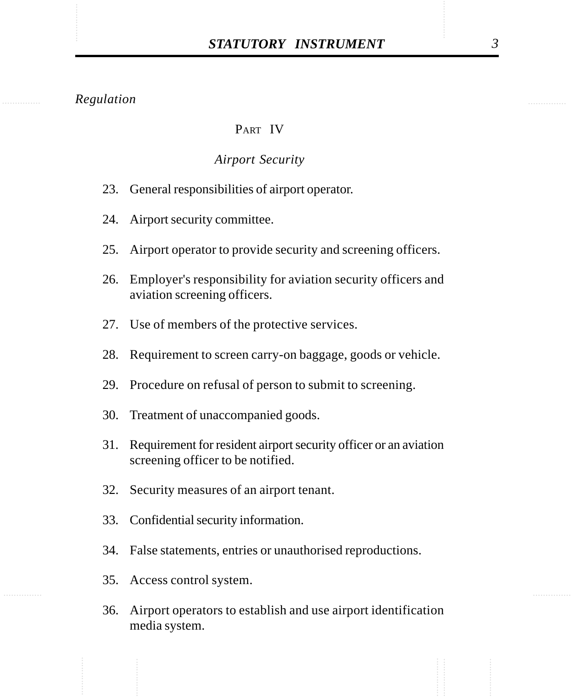#### PART IV

#### *Airport Security*

- 23. General responsibilities of airport operator.
- 24. Airport security committee.
- 25. Airport operator to provide security and screening officers.
- 26. Employer's responsibility for aviation security officers and aviation screening officers.
- 27. Use of members of the protective services.
- 28. Requirement to screen carry-on baggage, goods or vehicle.
- 29. Procedure on refusal of person to submit to screening.
- 30. Treatment of unaccompanied goods.
- 31. Requirement for resident airport security officer or an aviation screening officer to be notified.
- 32. Security measures of an airport tenant.
- 33. Confidential security information.
- 34. False statements, entries or unauthorised reproductions.
- 35. Access control system.
- 36. Airport operators to establish and use airport identification media system.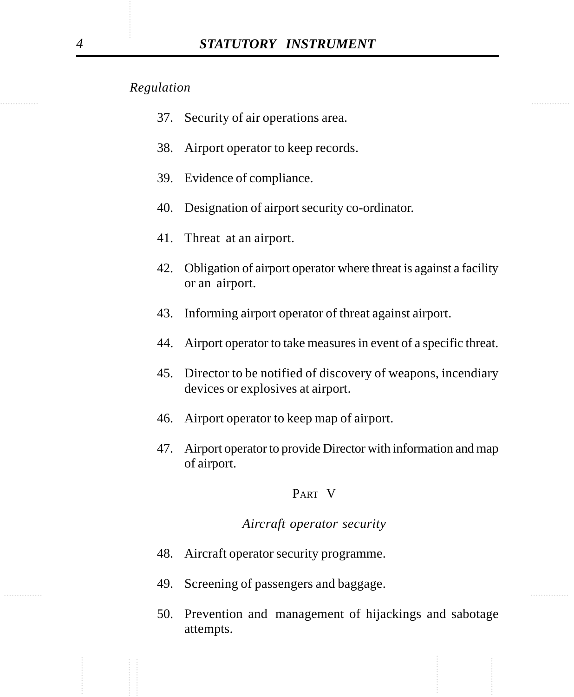- 37. Security of air operations area.
- 38. Airport operator to keep records.
- 39. Evidence of compliance.
- 40. Designation of airport security co-ordinator.
- 41. Threat at an airport.
- 42. Obligation of airport operator where threat is against a facility or an airport.
- 43. Informing airport operator of threat against airport.
- 44. Airport operator to take measures in event of a specific threat.
- 45. Director to be notified of discovery of weapons, incendiary devices or explosives at airport.
- 46. Airport operator to keep map of airport.
- 47. Airport operator to provide Director with information and map of airport.

## PART V

#### *Aircraft operator security*

- 48. Aircraft operator security programme.
- $\mathcal{L}$  and  $\mathcal{L}$  and  $\mathcal{L}$  and  $\mathcal{L}$  and  $\mathcal{L}$  and  $\mathcal{L}$  and  $\mathcal{L}$  and  $\mathcal{L}$  and  $\mathcal{L}$  and  $\mathcal{L}$  and  $\mathcal{L}$  and  $\mathcal{L}$  and  $\mathcal{L}$  and  $\mathcal{L}$  and  $\mathcal{L}$  and  $\mathcal{L}$  and  $\mathcal{L}$  and 49. Screening of passengers and baggage.
	- 50. Prevention and management of hijackings and sabotage attempts.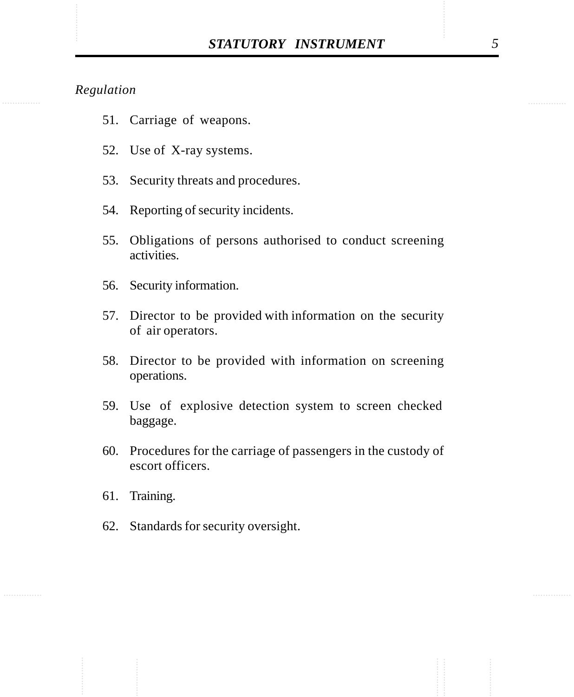- 51. Carriage of weapons.
- 52. Use of X-ray systems.
- 53. Security threats and procedures.
- 54. Reporting of security incidents.
- 55. Obligations of persons authorised to conduct screening activities.
- 56. Security information.
- 57. Director to be provided with information on the security of air operators.
- 58. Director to be provided with information on screening operations.
- 59. Use of explosive detection system to screen checked baggage.
- 60. Procedures for the carriage of passengers in the custody of escort officers.
- 61. Training.
- 62. Standards for security oversight.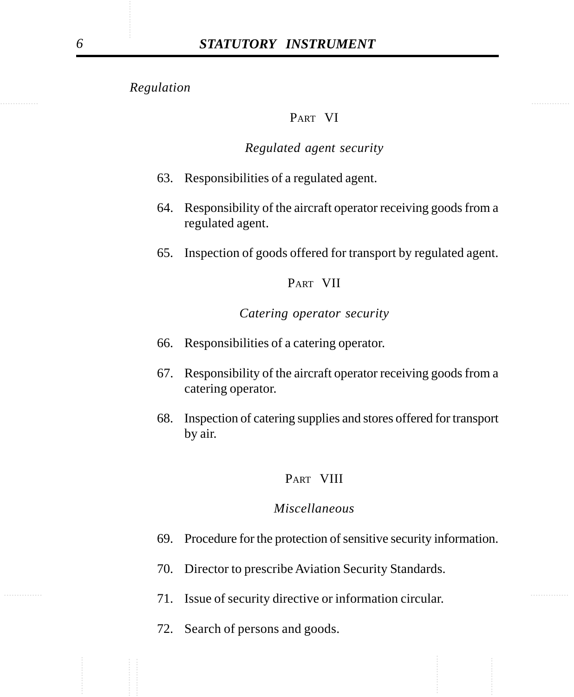## PART VI

## *Regulated agent security*

- 63. Responsibilities of a regulated agent.
- 64. Responsibility of the aircraft operator receiving goods from a regulated agent.
- 65. Inspection of goods offered for transport by regulated agent.

#### PART VII

## *Catering operator security*

- 66. Responsibilities of a catering operator.
- 67. Responsibility of the aircraft operator receiving goods from a catering operator.
- 68. Inspection of catering supplies and stores offered for transport by air.

#### PART VIII

## *Miscellaneous*

- 69. Procedure for the protection of sensitive security information.
- 70. Director to prescribe Aviation Security Standards.
- ............... ............... 71. Issue of security directive or information circular.
	- 72. Search of persons and goods.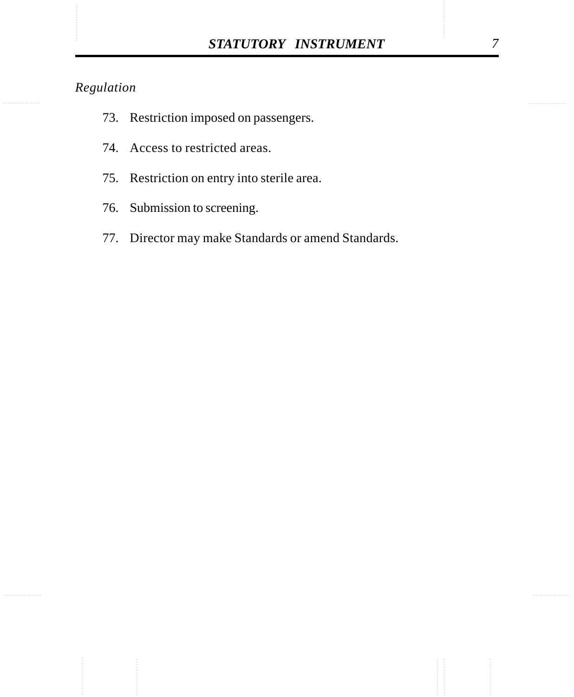- 73. Restriction imposed on passengers.
- 74. Access to restricted areas.
- 75. Restriction on entry into sterile area.
- 76. Submission to screening.
- 77. Director may make Standards or amend Standards.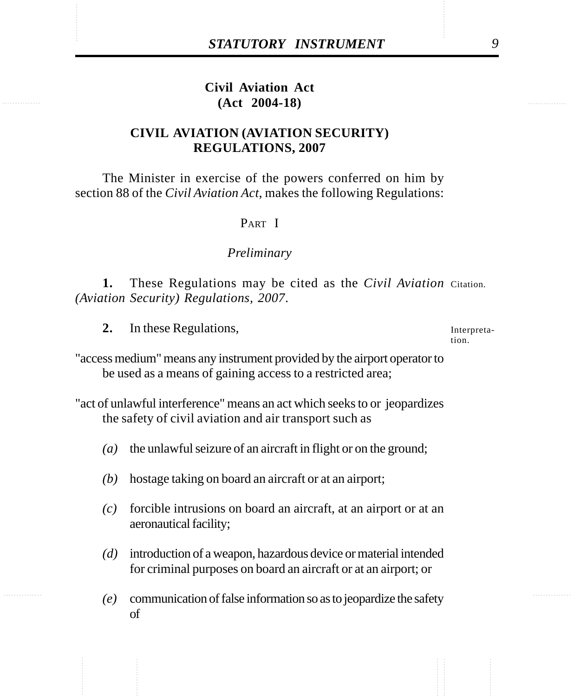# STATUTORY INSTRUMENT<br>
Civil Aviation Act<br>
(Act 2004-18) **Civil Aviation Act (Act 2004-18)**

# **CIVIL AVIATION (AVIATION SECURITY) REGULATIONS, 2007**

The Minister in exercise of the powers conferred on him by section 88 of the *Civil Aviation Act*, makes the following Regulations:

#### PART I

#### *Preliminary*

1. These Regulations may be cited as the *Civil Aviation* Citation. *(Aviation Security) Regulations, 2007*.

**2.** In these Regulations,

Interpretation.

"access medium" means any instrument provided by the airport operator to be used as a means of gaining access to a restricted area;

"act of unlawful interference" means an act which seeks to or jeopardizes the safety of civil aviation and air transport such as

- *(a)* the unlawful seizure of an aircraft in flight or on the ground;
- *(b)* hostage taking on board an aircraft or at an airport;
- *(c)* forcible intrusions on board an aircraft, at an airport or at an aeronautical facility;
- *(d)* introduction of a weapon, hazardous device or material intended for criminal purposes on board an aircraft or at an airport; or
- *(e)* communication of false information so as to jeopardize the safety of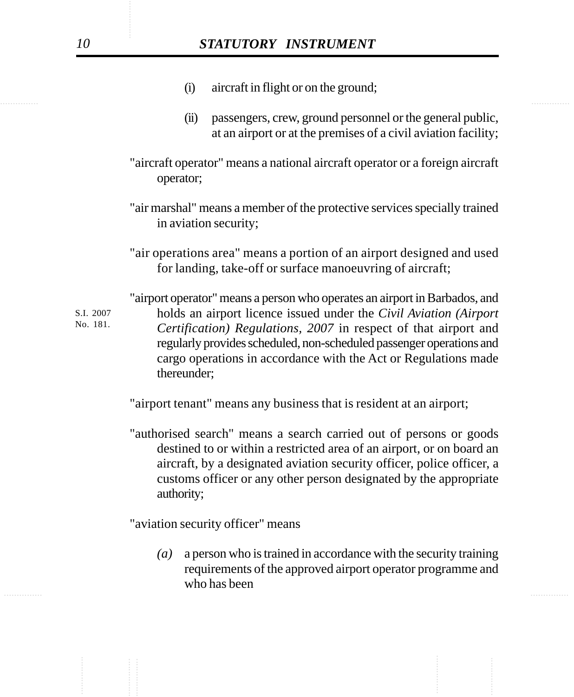- (i) aircraft in flight or on the ground;
- (ii) passengers, crew, ground personnel or the general public, at an airport or at the premises of a civil aviation facility;
- "aircraft operator" means a national aircraft operator or a foreign aircraft operator;
- "air marshal" means a member of the protective services specially trained in aviation security;
- "air operations area" means a portion of an airport designed and used for landing, take-off or surface manoeuvring of aircraft;

"airport operator" means a person who operates an airport in Barbados, and holds an airport licence issued under the *Civil Aviation (Airport Certification) Regulations, 2007* in respect of that airport and regularly provides scheduled, non-scheduled passenger operations and cargo operations in accordance with the Act or Regulations made thereunder; S.I. 2007 No. 181.

"airport tenant" means any business that is resident at an airport;

"authorised search" means a search carried out of persons or goods destined to or within a restricted area of an airport, or on board an aircraft, by a designated aviation security officer, police officer, a customs officer or any other person designated by the appropriate authority;

"aviation security officer" means

*(a)* a person who is trained in accordance with the security training requirements of the approved airport operator programme and who has been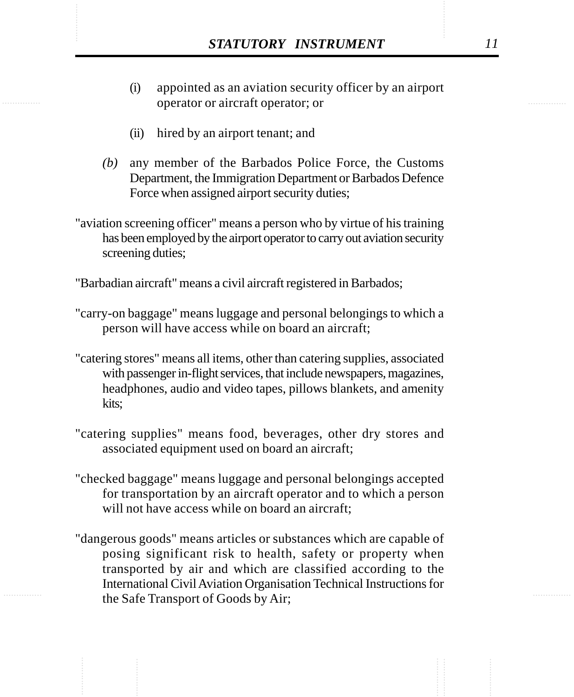- **STATUTORY INSTRUMENT** 11<br>(i) appointed as an aviation security officer by an airport<br>operator or aircraft operator: or (i) appointed as an aviation security officer by an airport operator or aircraft operator; or
	- (ii) hired by an airport tenant; and
	- *(b)* any member of the Barbados Police Force, the Customs Department, the Immigration Department or Barbados Defence Force when assigned airport security duties;
	- "aviation screening officer" means a person who by virtue of his training has been employed by the airport operator to carry out aviation security screening duties;

"Barbadian aircraft" means a civil aircraft registered in Barbados;

- "carry-on baggage" means luggage and personal belongings to which a person will have access while on board an aircraft;
- "catering stores" means all items, other than catering supplies, associated with passenger in-flight services, that include newspapers, magazines, headphones, audio and video tapes, pillows blankets, and amenity kits;
- "catering supplies" means food, beverages, other dry stores and associated equipment used on board an aircraft;
- "checked baggage" means luggage and personal belongings accepted for transportation by an aircraft operator and to which a person will not have access while on board an aircraft:
- "dangerous goods" means articles or substances which are capable of posing significant risk to health, safety or property when transported by air and which are classified according to the International Civil Aviation Organisation Technical Instructions for the Safe Transport of Goods by Air;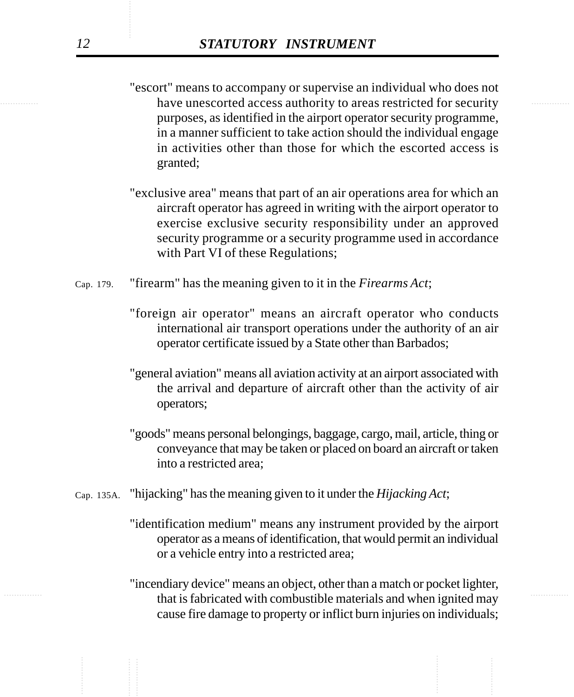- have unescorted access authority to areas restricted for security "escort" means to accompany or supervise an individual who does not purposes, as identified in the airport operator security programme, in a manner sufficient to take action should the individual engage in activities other than those for which the escorted access is granted;
	- "exclusive area" means that part of an air operations area for which an aircraft operator has agreed in writing with the airport operator to exercise exclusive security responsibility under an approved security programme or a security programme used in accordance with Part VI of these Regulations;
	- "firearm" has the meaning given to it in the *Firearms Act*; Cap. 179.
		- "foreign air operator" means an aircraft operator who conducts international air transport operations under the authority of an air operator certificate issued by a State other than Barbados;
		- "general aviation" means all aviation activity at an airport associated with the arrival and departure of aircraft other than the activity of air operators;
		- "goods" means personal belongings, baggage, cargo, mail, article, thing or conveyance that may be taken or placed on board an aircraft or taken into a restricted area;
	- "hijacking" has the meaning given to it under the *Hijacking Act*; Cap. 135A.
		- "identification medium" means any instrument provided by the airport operator as a means of identification, that would permit an individual or a vehicle entry into a restricted area;
- that is fabricated with combustible materials and when ignited may "incendiary device" means an object, other than a match or pocket lighter, cause fire damage to property or inflict burn injuries on individuals;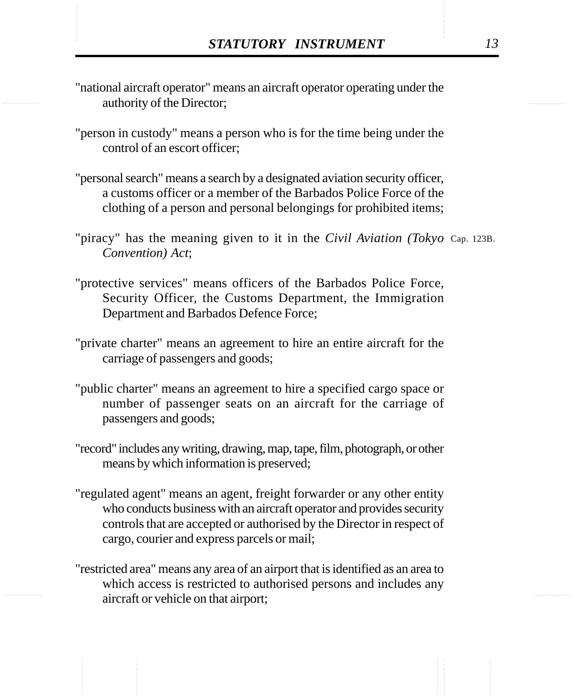- **STATUTORY INSTRUMENT** 13<br>
"national aircraft operator" means an aircraft operator operating under the authority of the Director: "national aircraft operator" means an aircraft operator operating under the authority of the Director;
	- "person in custody" means a person who is for the time being under the control of an escort officer;
	- "personal search" means a search by a designated aviation security officer, a customs officer or a member of the Barbados Police Force of the clothing of a person and personal belongings for prohibited items;
	- "piracy" has the meaning given to it in the *Civil Aviation (Tokyo* Cap. 123B. *Convention) Act*;
	- "protective services" means officers of the Barbados Police Force, Security Officer, the Customs Department, the Immigration Department and Barbados Defence Force;
	- "private charter" means an agreement to hire an entire aircraft for the carriage of passengers and goods;
	- "public charter" means an agreement to hire a specified cargo space or number of passenger seats on an aircraft for the carriage of passengers and goods;
	- "record" includes any writing, drawing, map, tape, film, photograph, or other means by which information is preserved;
	- "regulated agent" means an agent, freight forwarder or any other entity who conducts business with an aircraft operator and provides security controls that are accepted or authorised by the Director in respect of cargo, courier and express parcels or mail;
	- "restricted area" means any area of an airport that is identified as an area to which access is restricted to authorised persons and includes any aircraft or vehicle on that airport;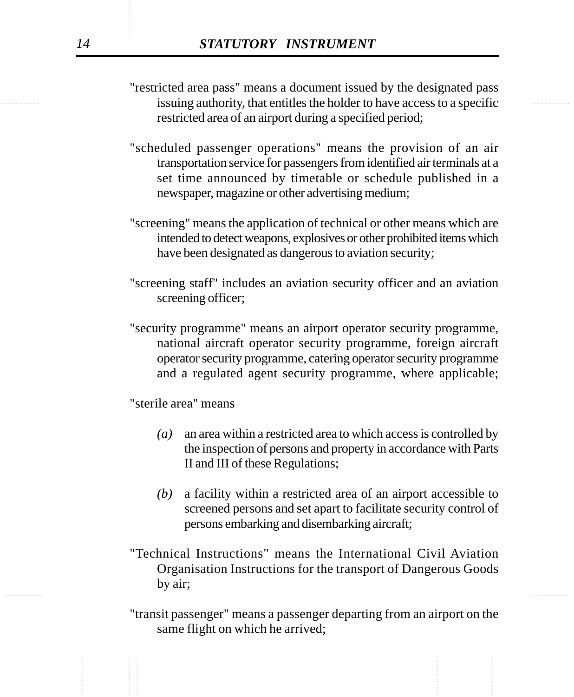- issuing authority, that entitles the holder to have access to a specific "restricted area pass" means a document issued by the designated pass restricted area of an airport during a specified period;
	- "scheduled passenger operations" means the provision of an air transportation service for passengers from identified air terminals at a set time announced by timetable or schedule published in a newspaper, magazine or other advertising medium;
	- "screening" means the application of technical or other means which are intended to detect weapons, explosives or other prohibited items which have been designated as dangerous to aviation security;
	- "screening staff" includes an aviation security officer and an aviation screening officer;
	- "security programme" means an airport operator security programme, national aircraft operator security programme, foreign aircraft operator security programme, catering operator security programme and a regulated agent security programme, where applicable;

"sterile area" means

- *(a)* an area within a restricted area to which access is controlled by the inspection of persons and property in accordance with Parts II and III of these Regulations;
- *(b)* a facility within a restricted area of an airport accessible to screened persons and set apart to facilitate security control of persons embarking and disembarking aircraft;
- ............... ............... "Technical Instructions" means the International Civil Aviation Organisation Instructions for the transport of Dangerous Goods by air;
	- "transit passenger" means a passenger departing from an airport on the same flight on which he arrived;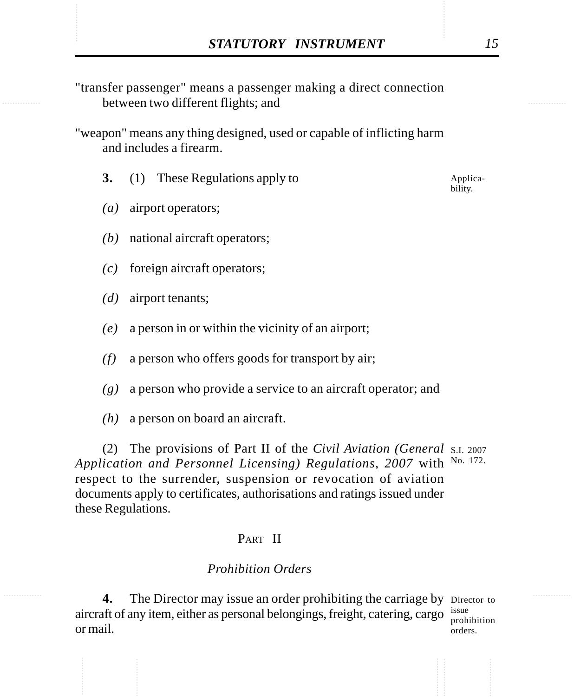- STATUTORY INSTRUMENT<br>
"transfer passenger" means a passenger making a direct connection<br>
between two different flights: and "transfer passenger" means a passenger making a direct connection between two different flights; and
	- "weapon" means any thing designed, used or capable of inflicting harm and includes a firearm.
		- **3.** (1) These Regulations apply to

Applicability.

- *(a)* airport operators;
- *(b)* national aircraft operators;
- *(c)* foreign aircraft operators;
- *(d)* airport tenants;
- *(e)* a person in or within the vicinity of an airport;
- *(f)* a person who offers goods for transport by air;
- *(g)* a person who provide a service to an aircraft operator; and
- *(h)* a person on board an aircraft.

(2) The provisions of Part II of the *Civil Aviation (General* S.I. 2007 Application and Personnel Licensing) Regulations, 2007 with <sup>No. 172.</sup> respect to the surrender, suspension or revocation of aviation documents apply to certificates, authorisations and ratings issued under these Regulations.

## PART II

## *Prohibition Orders*

4. The Director may issue an order prohibiting the carriage by Director to aircraft of any item, either as personal belongings, freight, catering, cargo  $\frac{issue}{ncoh}$ or mail. orders.

prohibition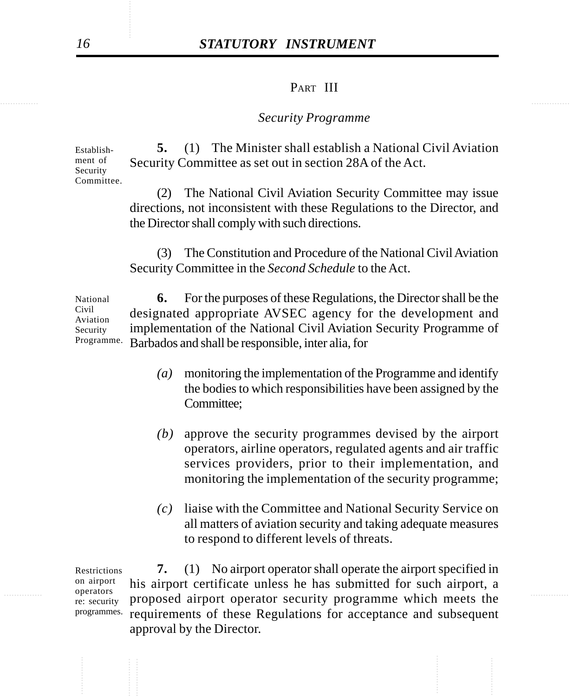# *16 STATUTORY INSTRUMENT*

#### PART III

#### *Security Programme*

**5.** (1) The Minister shall establish a National Civil Aviation Security Committee as set out in section 28A of the Act. Establishment of Security Committee.

> (2) The National Civil Aviation Security Committee may issue directions, not inconsistent with these Regulations to the Director, and the Director shall comply with such directions.

> (3) The Constitution and Procedure of the National Civil Aviation Security Committee in the *Second Schedule* to the Act.

**6.** For the purposes of these Regulations, the Director shall be the designated appropriate AVSEC agency for the development and implementation of the National Civil Aviation Security Programme of Barbados and shall be responsible, inter alia, for National Civil Aviation Security Programme.

- *(a)* monitoring the implementation of the Programme and identify the bodies to which responsibilities have been assigned by the Committee;
- *(b)* approve the security programmes devised by the airport operators, airline operators, regulated agents and air traffic services providers, prior to their implementation, and monitoring the implementation of the security programme;
- *(c)* liaise with the Committee and National Security Service on all matters of aviation security and taking adequate measures to respond to different levels of threats.

operators operators recurity proposed airport operator security programme which meets the **7.** (1) No airport operator shall operate the airport specified in his airport certificate unless he has submitted for such airport, a requirements of these Regulations for acceptance and subsequent approval by the Director. Restrictions on airport operators re: security programmes.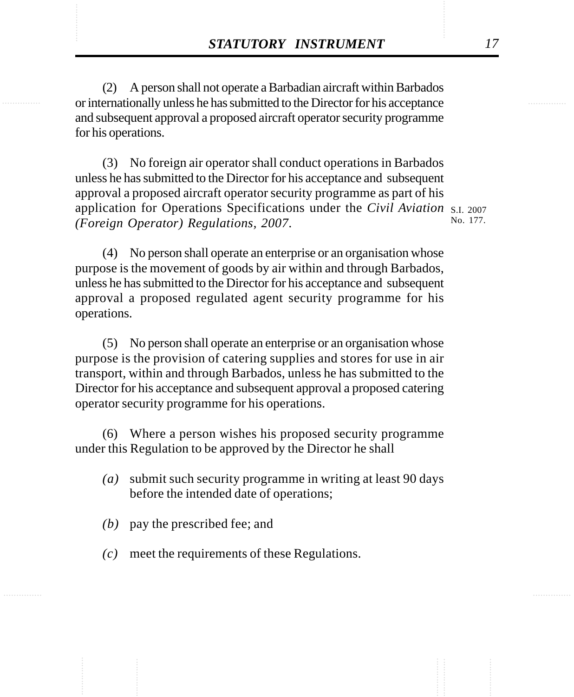**STATUTORY INSTRUMENT** 17<br>
(2) A person shall not operate a Barbadian aircraft within Barbados<br>
or internationally unless he has submitted to the Director for his acceptance (2) A person shall not operate a Barbadian aircraft within Barbados or internationally unless he has submitted to the Director for his acceptance and subsequent approval a proposed aircraft operator security programme for his operations.

> (3) No foreign air operator shall conduct operations in Barbados unless he has submitted to the Director for his acceptance and subsequent approval a proposed aircraft operator security programme as part of his application for Operations Specifications under the *Civil Aviation* S.I. 2007 *(Foreign Operator) Regulations, 2007*. No. 177.

(4) No person shall operate an enterprise or an organisation whose purpose is the movement of goods by air within and through Barbados, unless he has submitted to the Director for his acceptance and subsequent approval a proposed regulated agent security programme for his operations.

(5) No person shall operate an enterprise or an organisation whose purpose is the provision of catering supplies and stores for use in air transport, within and through Barbados, unless he has submitted to the Director for his acceptance and subsequent approval a proposed catering operator security programme for his operations.

(6) Where a person wishes his proposed security programme under this Regulation to be approved by the Director he shall

- *(a)* submit such security programme in writing at least 90 days before the intended date of operations;
- *(b)* pay the prescribed fee; and
- *(c)* meet the requirements of these Regulations.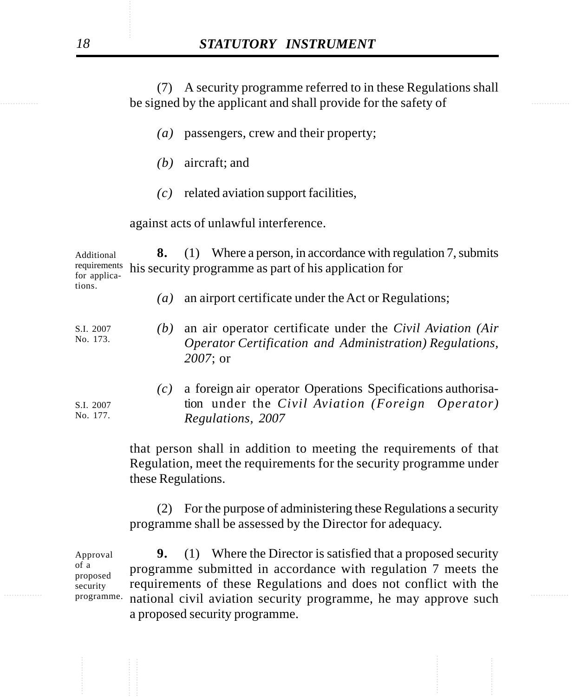be signed by the applicant and shall provide for the safety of (7) A security programme referred to in these Regulations shall

- *(a)* passengers, crew and their property;
- *(b)* aircraft; and
- *(c)* related aviation support facilities,

against acts of unlawful interference.

**8.** (1) Where a person, in accordance with regulation 7, submits his security programme as part of his application for Additional requirements for applications.

- *(a)* an airport certificate under the Act or Regulations;
- *(b)* an air operator certificate under the *Civil Aviation (Air Operator Certification and Administration) Regulations, 2007*; or S.I. 2007 No. 173.

*(c)* a foreign air operator Operations Specifications authorisation under the *Civil Aviation (Foreign Operator) Regulations, 2007*

that person shall in addition to meeting the requirements of that Regulation, meet the requirements for the security programme under these Regulations.

(2) For the purpose of administering these Regulations a security programme shall be assessed by the Director for adequacy.

rival, programme. national civil aviation security programme, he may approve such **9.** (1) Where the Director is satisfied that a proposed security programme submitted in accordance with regulation 7 meets the requirements of these Regulations and does not conflict with the a proposed security programme. Approval of a proposed security programme.

S.I. 2007 No. 177.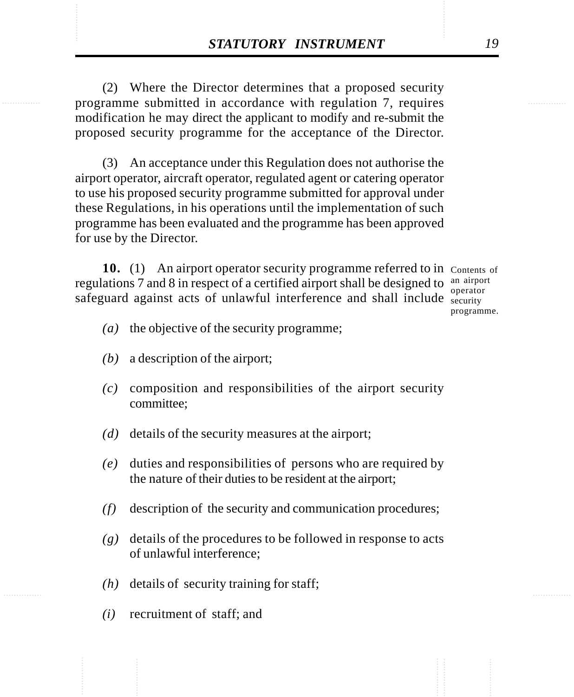**STATUTORY INSTRUMENT** 19<br>
(2) Where the Director determines that a proposed security<br>
programme submitted in accordance with regulation 7, requires (2) Where the Director determines that a proposed security programme submitted in accordance with regulation 7, requires modification he may direct the applicant to modify and re-submit the proposed security programme for the acceptance of the Director.

> (3) An acceptance under this Regulation does not authorise the airport operator, aircraft operator, regulated agent or catering operator to use his proposed security programme submitted for approval under these Regulations, in his operations until the implementation of such programme has been evaluated and the programme has been approved for use by the Director.

10. (1) An airport operator security programme referred to in Contents of regulations 7 and 8 in respect of a certified airport shall be designed to  $\frac{an\ aiport}{an\ aipot}$ safeguard against acts of unlawful interference and shall include security operator

programme.

- *(a)* the objective of the security programme;
- *(b)* a description of the airport;
- *(c)* composition and responsibilities of the airport security committee;
- *(d)* details of the security measures at the airport;
- *(e)* duties and responsibilities of persons who are required by the nature of their duties to be resident at the airport;
- *(f)* description of the security and communication procedures;
- *(g)* details of the procedures to be followed in response to acts of unlawful interference;
- *(h)* details of security training for staff;
- *(i)* recruitment of staff; and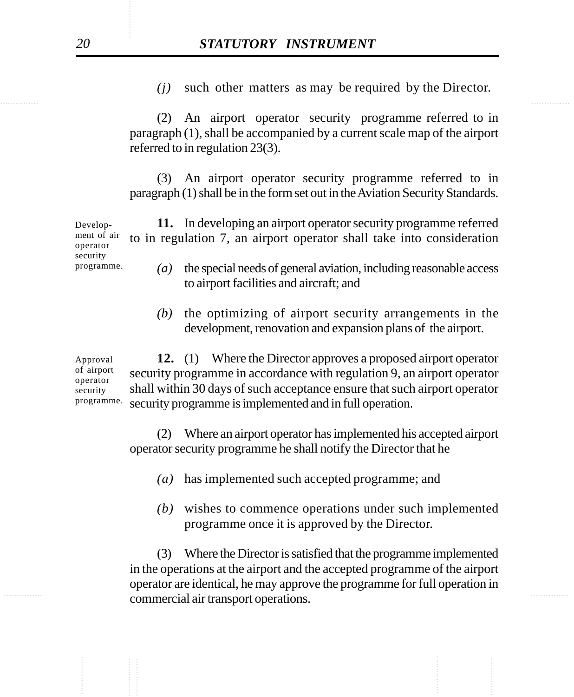*(j)* such other matters as may be required by the Director.

(2) An airport operator security programme referred to in paragraph (1), shall be accompanied by a current scale map of the airport referred to in regulation 23(3).

(3) An airport operator security programme referred to in paragraph (1) shall be in the form set out in the Aviation Security Standards.

**11.** In developing an airport operator security programme referred to in regulation 7, an airport operator shall take into consideration Development of air operator security programme.

- *(a)* the special needs of general aviation, including reasonable access to airport facilities and aircraft; and
- *(b)* the optimizing of airport security arrangements in the development, renovation and expansion plans of the airport.

**12.** (1) Where the Director approves a proposed airport operator security programme in accordance with regulation 9, an airport operator shall within 30 days of such acceptance ensure that such airport operator security programme is implemented and in full operation. Approval of airport operator security programme.

> (2) Where an airport operator has implemented his accepted airport operator security programme he shall notify the Director that he

- *(a)* has implemented such accepted programme; and
- *(b)* wishes to commence operations under such implemented programme once it is approved by the Director.

expansion of the commercial air transport operations. (3) Where the Director is satisfied that the programme implemented in the operations at the airport and the accepted programme of the airport operator are identical, he may approve the programme for full operation in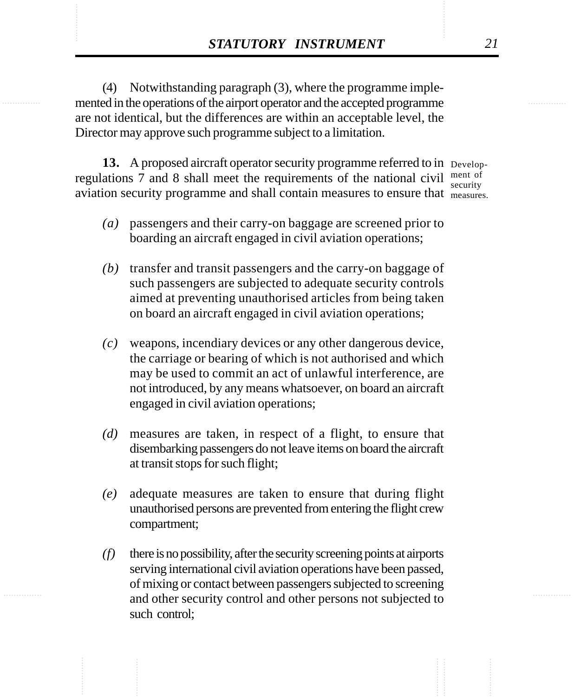**STATUTORY INSTRUMENT** 21<br>
(4) Notwithstanding paragraph (3), where the programme implemented in the operations of the airport operator and the accepted programme (4) Notwithstanding paragraph (3), where the programme implemented in the operations of the airport operator and the accepted programme are not identical, but the differences are within an acceptable level, the Director may approve such programme subject to a limitation.

> 13. A proposed aircraft operator security programme referred to in Developregulations 7 and 8 shall meet the requirements of the national civil  $\frac{\text{ment of}}{\text{conmit}}$ aviation security programme and shall contain measures to ensure that measures. security

- 
- *(a)* passengers and their carry-on baggage are screened prior to boarding an aircraft engaged in civil aviation operations;
- *(b)* transfer and transit passengers and the carry-on baggage of such passengers are subjected to adequate security controls aimed at preventing unauthorised articles from being taken on board an aircraft engaged in civil aviation operations;
- *(c)* weapons, incendiary devices or any other dangerous device, the carriage or bearing of which is not authorised and which may be used to commit an act of unlawful interference, are not introduced, by any means whatsoever, on board an aircraft engaged in civil aviation operations;
- *(d)* measures are taken, in respect of a flight, to ensure that disembarking passengers do not leave items on board the aircraft at transit stops for such flight;
- *(e)* adequate measures are taken to ensure that during flight unauthorised persons are prevented from entering the flight crew compartment;
- *(f)* there is no possibility, after the security screening points at airports serving international civil aviation operations have been passed, of mixing or contact between passengers subjected to screening and other security control and other persons not subjected to such control;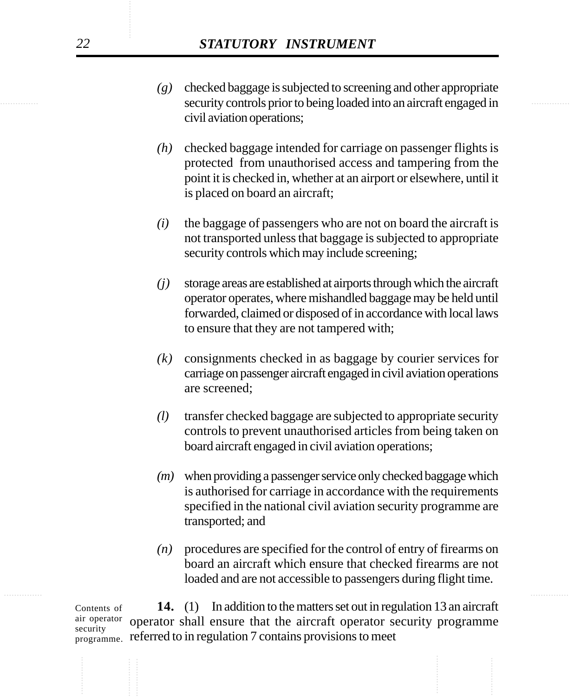- security controls prior to being loaded into an aircraft engaged in *(g)* checked baggage is subjected to screening and other appropriate civil aviation operations;
	- *(h)* checked baggage intended for carriage on passenger flights is protected from unauthorised access and tampering from the point it is checked in, whether at an airport or elsewhere, until it is placed on board an aircraft;
	- *(i)* the baggage of passengers who are not on board the aircraft is not transported unless that baggage is subjected to appropriate security controls which may include screening;
	- *(j)* storage areas are established at airports through which the aircraft operator operates, where mishandled baggage may be held until forwarded, claimed or disposed of in accordance with local laws to ensure that they are not tampered with;
	- *(k)* consignments checked in as baggage by courier services for carriage on passenger aircraft engaged in civil aviation operations are screened;
	- *(l)* transfer checked baggage are subjected to appropriate security controls to prevent unauthorised articles from being taken on board aircraft engaged in civil aviation operations;
	- *(m)* when providing a passenger service only checked baggage which is authorised for carriage in accordance with the requirements specified in the national civil aviation security programme are transported; and
	- *(n)* procedures are specified for the control of entry of firearms on board an aircraft which ensure that checked firearms are not loaded and are not accessible to passengers during flight time.

**14.** (1) In addition to the matters set out in regulation 13 an aircraft operator shall ensure that the aircraft operator security programme <sub>programme.</sub> referred to in regulation 7 contains provisions to meet Contents of air operator security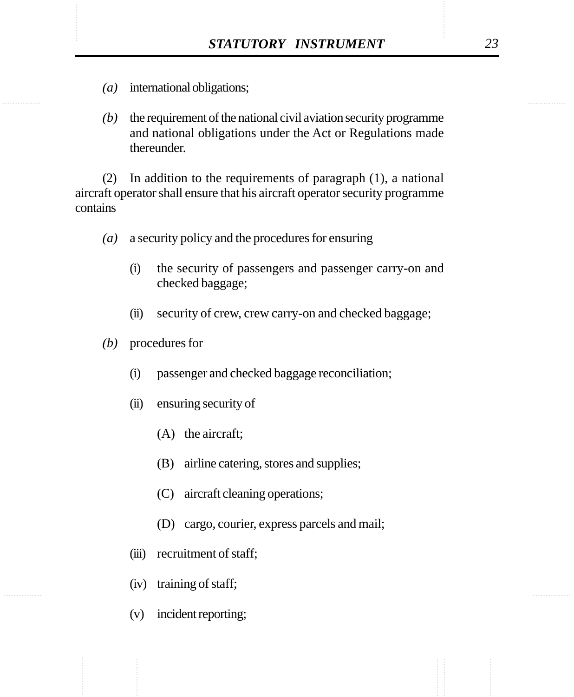- *(a)* international obligations;
- *(b)* the requirement of the national civil aviation security programme and national obligations under the Act or Regulations made thereunder.

(2) In addition to the requirements of paragraph (1), a national aircraft operator shall ensure that his aircraft operator security programme contains

- *(a)* a security policy and the procedures for ensuring
	- (i) the security of passengers and passenger carry-on and checked baggage;
	- (ii) security of crew, crew carry-on and checked baggage;
- *(b)* procedures for
	- (i) passenger and checked baggage reconciliation;
	- (ii) ensuring security of
		- (A) the aircraft;
		- (B) airline catering, stores and supplies;
		- (C) aircraft cleaning operations;
		- (D) cargo, courier, express parcels and mail;
	- (iii) recruitment of staff;
	- (iv) training of staff;
	- (v) incident reporting;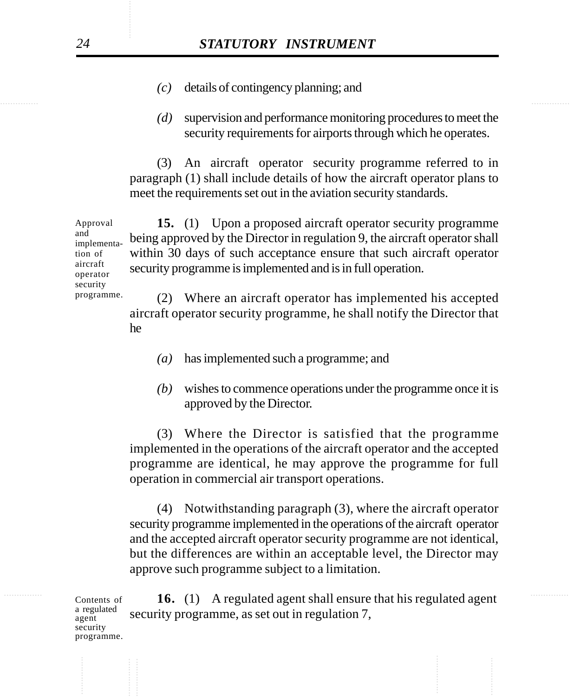- *(c)* details of contingency planning; and
- *(d)* supervision and performance monitoring procedures to meet the security requirements for airports through which he operates.

(3) An aircraft operator security programme referred to in paragraph (1) shall include details of how the aircraft operator plans to meet the requirements set out in the aviation security standards.

**15.** (1) Upon a proposed aircraft operator security programme being approved by the Director in regulation 9, the aircraft operator shall within 30 days of such acceptance ensure that such aircraft operator security programme is implemented and is in full operation. Approval and implementation of aircraft operator security

> (2) Where an aircraft operator has implemented his accepted aircraft operator security programme, he shall notify the Director that he

- *(a)* has implemented such a programme; and
- *(b)* wishes to commence operations under the programme once it is approved by the Director.

(3) Where the Director is satisfied that the programme implemented in the operations of the aircraft operator and the accepted programme are identical, he may approve the programme for full operation in commercial air transport operations.

(4) Notwithstanding paragraph (3), where the aircraft operator security programme implemented in the operations of the aircraft operator and the accepted aircraft operator security programme are not identical, but the differences are within an acceptable level, the Director may approve such programme subject to a limitation.

............... ............... **16.** (1) A regulated agent shall ensure that his regulated agent security programme, as set out in regulation 7, Contents of a regulated agent security programme.

programme.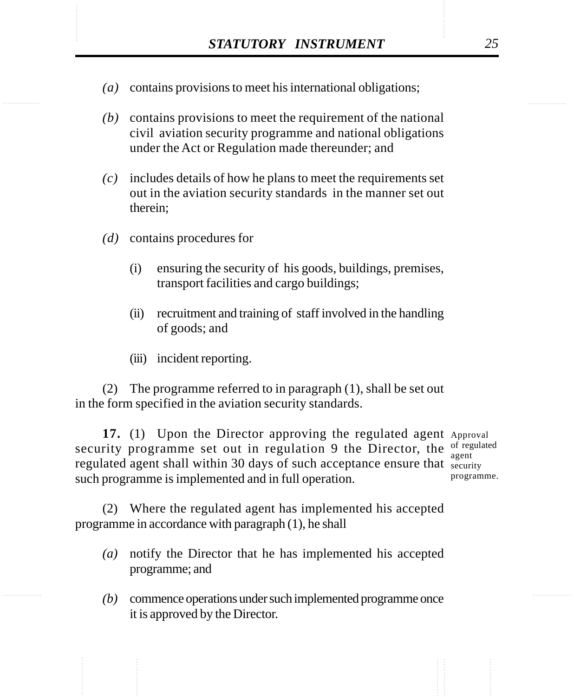- STATUTORY INSTRUMENT 25<br>(a) contains provisions to meet his international obligations; *(a)* contains provisions to meet his international obligations;
	- *(b)* contains provisions to meet the requirement of the national civil aviation security programme and national obligations under the Act or Regulation made thereunder; and
	- *(c)* includes details of how he plans to meet the requirements set out in the aviation security standards in the manner set out therein;
	- *(d)* contains procedures for
		- (i) ensuring the security of his goods, buildings, premises, transport facilities and cargo buildings;
		- (ii) recruitment and training of staff involved in the handling of goods; and
		- (iii) incident reporting.

(2) The programme referred to in paragraph (1), shall be set out in the form specified in the aviation security standards.

17. (1) Upon the Director approving the regulated agent Approval security programme set out in regulation 9 the Director, the  $\frac{1}{2}$  regulated regulated agent shall within 30 days of such acceptance ensure that security such programme is implemented and in full operation. agent

programme.

(2) Where the regulated agent has implemented his accepted programme in accordance with paragraph (1), he shall

- *(a)* notify the Director that he has implemented his accepted programme; and
- *(b)* commence operations under such implemented programme once it is approved by the Director.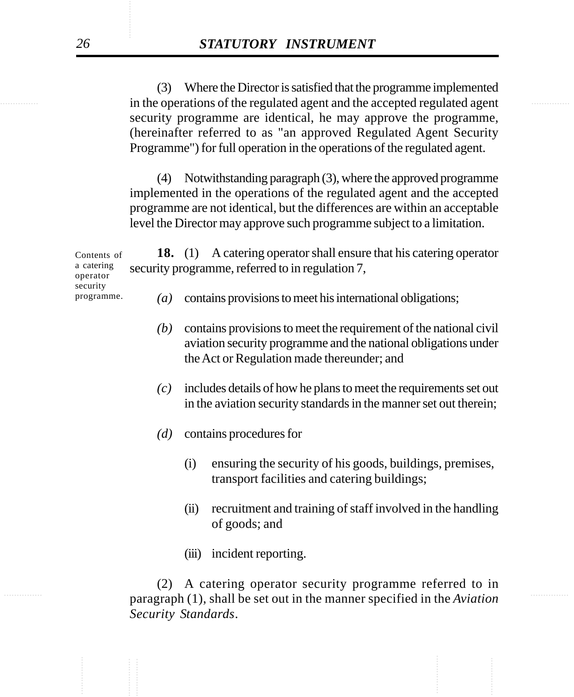in the operations of the regulated agent and the accepted regulated agent (3) Where the Director is satisfied that the programme implemented security programme are identical, he may approve the programme, (hereinafter referred to as "an approved Regulated Agent Security Programme") for full operation in the operations of the regulated agent.

> (4) Notwithstanding paragraph (3), where the approved programme implemented in the operations of the regulated agent and the accepted programme are not identical, but the differences are within an acceptable level the Director may approve such programme subject to a limitation.

**18.** (1) A catering operator shall ensure that his catering operator security programme, referred to in regulation 7, *(a)* contains provisions to meet his international obligations; Contents of a catering operator security programme.

- *(b)* contains provisions to meet the requirement of the national civil aviation security programme and the national obligations under the Act or Regulation made thereunder; and
- *(c)* includes details of how he plans to meet the requirements set out in the aviation security standards in the manner set out therein;
- *(d)* contains procedures for
	- (i) ensuring the security of his goods, buildings, premises, transport facilities and catering buildings;
	- (ii) recruitment and training of staff involved in the handling of goods; and
	- (iii) incident reporting.

............... ............... paragraph (1), shall be set out in the manner specified in the *Aviation* (2) A catering operator security programme referred to in *Security Standards*.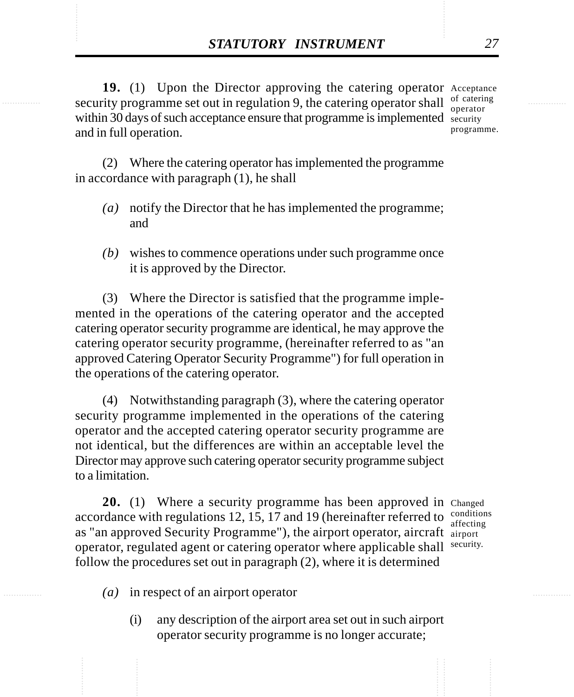**STATUTORY INSTRUMENT** 27<br> **19.** (1) Upon the Director approving the catering operator Acceptance<br>
security programme set out in regulation 9. the catering operator shall of catering 19. (1) Upon the Director approving the catering operator Acceptance security programme set out in regulation 9, the catering operator shall  $\frac{1}{\text{operator}}$ within 30 days of such acceptance ensure that programme is implemented security and in full operation. operator programme.

> (2) Where the catering operator has implemented the programme in accordance with paragraph (1), he shall

- *(a)* notify the Director that he has implemented the programme; and
- *(b)* wishes to commence operations under such programme once it is approved by the Director.

(3) Where the Director is satisfied that the programme implemented in the operations of the catering operator and the accepted catering operator security programme are identical, he may approve the catering operator security programme, (hereinafter referred to as "an approved Catering Operator Security Programme") for full operation in the operations of the catering operator.

(4) Notwithstanding paragraph (3), where the catering operator security programme implemented in the operations of the catering operator and the accepted catering operator security programme are not identical, but the differences are within an acceptable level the Director may approve such catering operator security programme subject to a limitation.

20. (1) Where a security programme has been approved in Changed accordance with regulations 12, 15, 17 and 19 (hereinafter referred to  $\frac{\text{conditions}}{\text{effective}}$ as "an approved Security Programme"), the airport operator, aircraft airport operator, regulated agent or catering operator where applicable shall security. follow the procedures set out in paragraph (2), where it is determined

affecting

- *(a)* in respect of an airport operator
	- (i) any description of the airport area set out in such airport operator security programme is no longer accurate;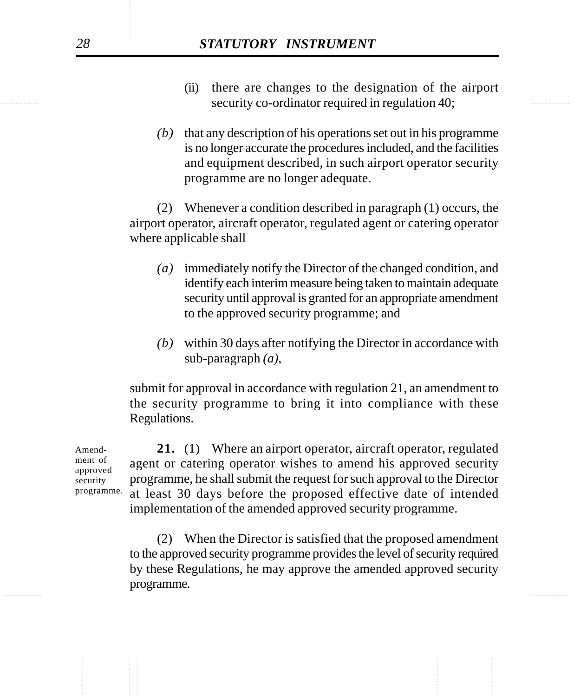- security co-ordinator required in regulation 40; (ii) there are changes to the designation of the airport
	- *(b)* that any description of his operations set out in his programme is no longer accurate the procedures included, and the facilities and equipment described, in such airport operator security programme are no longer adequate.

(2) Whenever a condition described in paragraph (1) occurs, the airport operator, aircraft operator, regulated agent or catering operator where applicable shall

- *(a)* immediately notify the Director of the changed condition, and identify each interim measure being taken to maintain adequate security until approval is granted for an appropriate amendment to the approved security programme; and
- *(b)* within 30 days after notifying the Director in accordance with sub-paragraph *(a)*,

submit for approval in accordance with regulation 21, an amendment to the security programme to bring it into compliance with these Regulations.

**21.** (1) Where an airport operator, aircraft operator, regulated agent or catering operator wishes to amend his approved security programme, he shall submit the request for such approval to the Director at least 30 days before the proposed effective date of intended implementation of the amended approved security programme.

............... ............... (2) When the Director is satisfied that the proposed amendment to the approved security programme provides the level of security required by these Regulations, he may approve the amended approved security programme.

Amendment of approved security programme.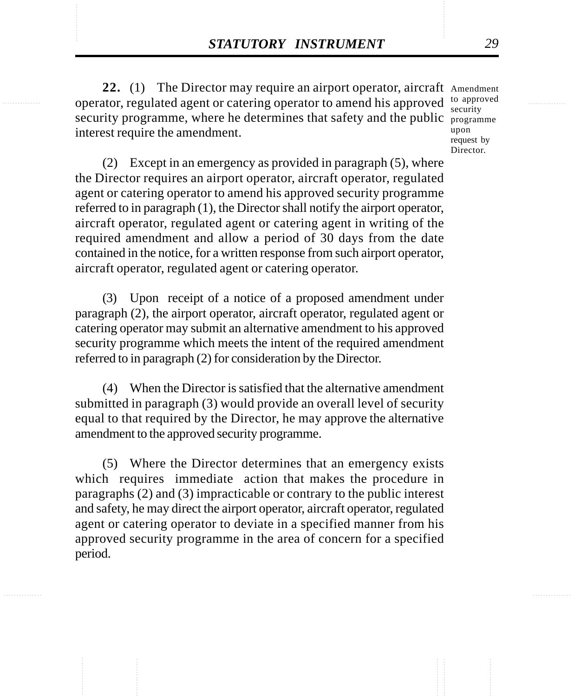**STATUTORY INSTRUMENT** 29<br>22. (1) The Director may require an airport operator, aircraft Amendment<br>operator, regulated agent or catering operator to amend his approved to approved 22. (1) The Director may require an airport operator, aircraft Amendment operator, regulated agent or catering operator to amend his approved to approved security programme, where he determines that safety and the public programme interest require the amendment.

security upon request by Director.

(2) Except in an emergency as provided in paragraph (5), where the Director requires an airport operator, aircraft operator, regulated agent or catering operator to amend his approved security programme referred to in paragraph (1), the Director shall notify the airport operator, aircraft operator, regulated agent or catering agent in writing of the required amendment and allow a period of 30 days from the date contained in the notice, for a written response from such airport operator, aircraft operator, regulated agent or catering operator.

(3) Upon receipt of a notice of a proposed amendment under paragraph (2), the airport operator, aircraft operator, regulated agent or catering operator may submit an alternative amendment to his approved security programme which meets the intent of the required amendment referred to in paragraph (2) for consideration by the Director.

(4) When the Director is satisfied that the alternative amendment submitted in paragraph (3) would provide an overall level of security equal to that required by the Director, he may approve the alternative amendment to the approved security programme.

(5) Where the Director determines that an emergency exists which requires immediate action that makes the procedure in paragraphs (2) and (3) impracticable or contrary to the public interest and safety, he may direct the airport operator, aircraft operator, regulated agent or catering operator to deviate in a specified manner from his approved security programme in the area of concern for a specified period.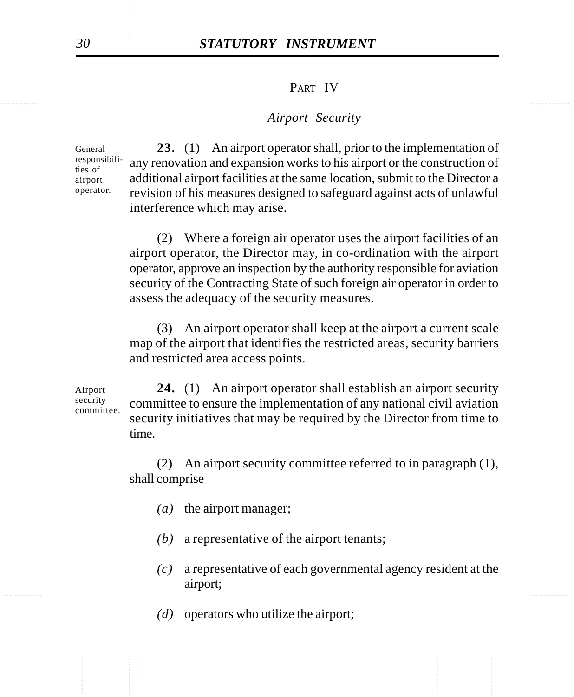#### PART IV

#### *Airport Security*

General responsibilities of airport operator.

**23.** (1) An airport operator shall, prior to the implementation of any renovation and expansion works to his airport or the construction of additional airport facilities at the same location, submit to the Director a revision of his measures designed to safeguard against acts of unlawful interference which may arise.

(2) Where a foreign air operator uses the airport facilities of an airport operator, the Director may, in co-ordination with the airport operator, approve an inspection by the authority responsible for aviation security of the Contracting State of such foreign air operator in order to assess the adequacy of the security measures.

(3) An airport operator shall keep at the airport a current scale map of the airport that identifies the restricted areas, security barriers and restricted area access points.

Airport security committee.

**24.** (1) An airport operator shall establish an airport security committee to ensure the implementation of any national civil aviation security initiatives that may be required by the Director from time to time.

(2) An airport security committee referred to in paragraph (1), shall comprise

- *(a)* the airport manager;
- *(b)* a representative of the airport tenants;
- ............... ............... *(c)* a representative of each governmental agency resident at the airport;
	- *(d)* operators who utilize the airport;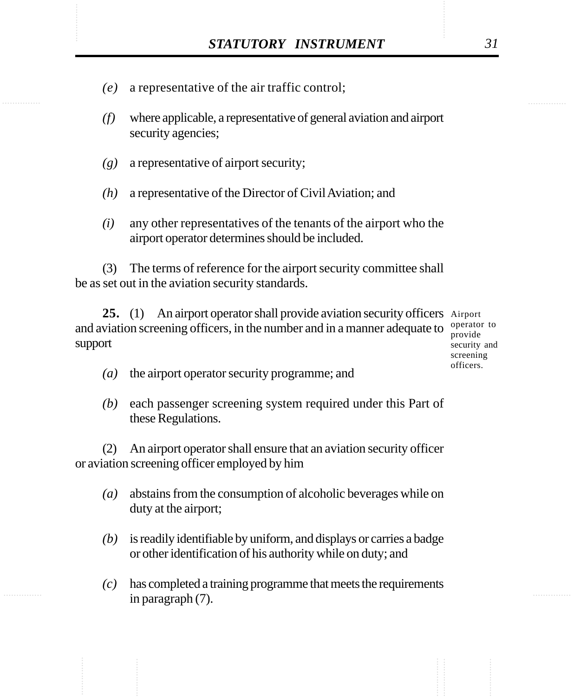- STATUTORY INSTRUMENT 31<br>(e) a representative of the air traffic control; *(e)* a representative of the air traffic control;
	- *(f)* where applicable, a representative of general aviation and airport security agencies;
	- *(g)* a representative of airport security;
	- *(h)* a representative of the Director of Civil Aviation; and
	- *(i)* any other representatives of the tenants of the airport who the airport operator determines should be included.

(3) The terms of reference for the airport security committee shall be as set out in the aviation security standards.

25. (1) An airport operator shall provide aviation security officers Airport and aviation screening officers, in the number and in a manner adequate to  $\frac{\text{operator}}{\text{product}}$ support

provide security and screening officers.

- *(a)* the airport operator security programme; and
- *(b)* each passenger screening system required under this Part of these Regulations.

(2) An airport operator shall ensure that an aviation security officer or aviation screening officer employed by him

- *(a)* abstains from the consumption of alcoholic beverages while on duty at the airport;
- *(b)* is readily identifiable by uniform, and displays or carries a badge or other identification of his authority while on duty; and
- *(c)* has completed a training programme that meets the requirements in paragraph (7).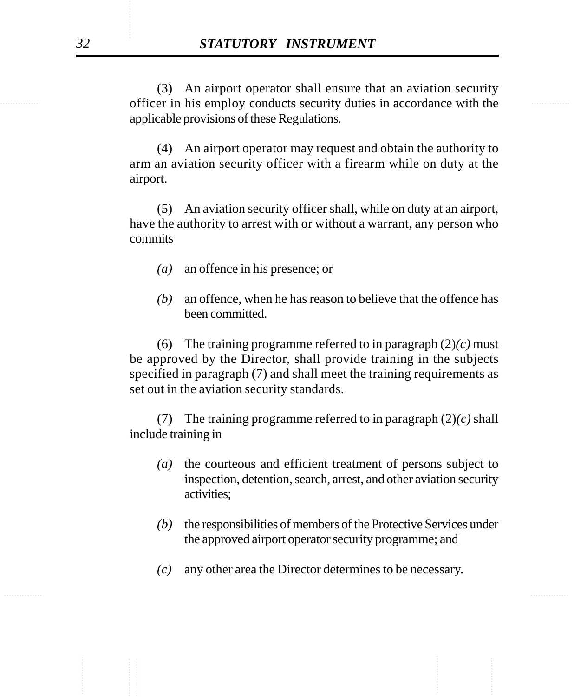officer in his employ conducts security duties in accordance with the (3) An airport operator shall ensure that an aviation security applicable provisions of these Regulations.

> (4) An airport operator may request and obtain the authority to arm an aviation security officer with a firearm while on duty at the airport.

> (5) An aviation security officer shall, while on duty at an airport, have the authority to arrest with or without a warrant, any person who commits

- *(a)* an offence in his presence; or
- *(b)* an offence, when he has reason to believe that the offence has been committed.

(6) The training programme referred to in paragraph (2)*(c)* must be approved by the Director, shall provide training in the subjects specified in paragraph (7) and shall meet the training requirements as set out in the aviation security standards.

(7) The training programme referred to in paragraph (2)*(c)* shall include training in

- *(a)* the courteous and efficient treatment of persons subject to inspection, detention, search, arrest, and other aviation security activities;
- *(b)* the responsibilities of members of the Protective Services under the approved airport operator security programme; and
- *(c)* any other area the Director determines to be necessary.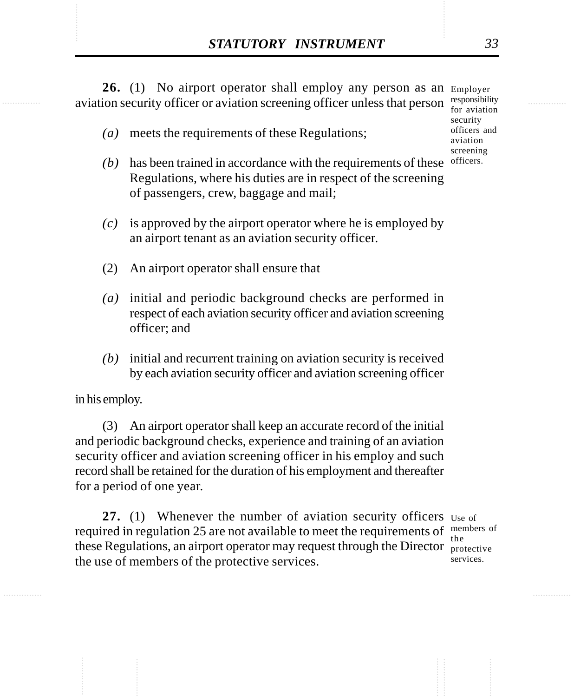**STATUTORY INSTRUMENT** 33<br>
26. (1) No airport operator shall employ any person as an Employer<br>
aviation security officer or aviation screening officer unless that person responsibility 26. (1) No airport operator shall employ any person as an Employer aviation security officer or aviation screening officer unless that person  $\frac{\text{responsibility}}{\text{for quition}}$ 

*(a)* meets the requirements of these Regulations;

- for aviation security officers and aviation screening officers.
- *(b)* has been trained in accordance with the requirements of these Regulations, where his duties are in respect of the screening of passengers, crew, baggage and mail;
- *(c)* is approved by the airport operator where he is employed by an airport tenant as an aviation security officer.
- (2) An airport operator shall ensure that
- *(a)* initial and periodic background checks are performed in respect of each aviation security officer and aviation screening officer; and
- *(b)* initial and recurrent training on aviation security is received by each aviation security officer and aviation screening officer

in his employ.

(3) An airport operator shall keep an accurate record of the initial and periodic background checks, experience and training of an aviation security officer and aviation screening officer in his employ and such record shall be retained for the duration of his employment and thereafter for a period of one year.

27. (1) Whenever the number of aviation security officers use of required in regulation 25 are not available to meet the requirements of  $\frac{m_{\text{embers}}}{m_{\text{ember}}}$ these Regulations, an airport operator may request through the Director protective the use of members of the protective services. the

services.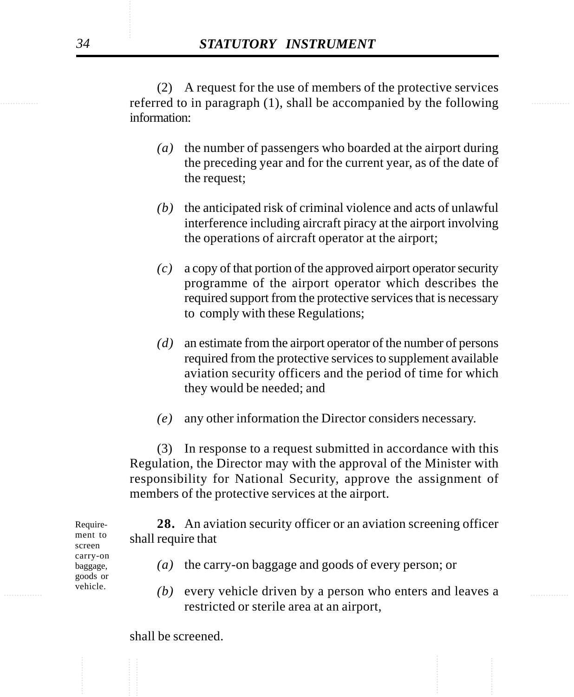referred to in paragraph (1), shall be accompanied by the following (2) A request for the use of members of the protective services information:

- *(a)* the number of passengers who boarded at the airport during the preceding year and for the current year, as of the date of the request;
- *(b)* the anticipated risk of criminal violence and acts of unlawful interference including aircraft piracy at the airport involving the operations of aircraft operator at the airport;
- *(c)* a copy of that portion of the approved airport operator security programme of the airport operator which describes the required support from the protective services that is necessary to comply with these Regulations;
- *(d)* an estimate from the airport operator of the number of persons required from the protective services to supplement available aviation security officers and the period of time for which they would be needed; and
- *(e)* any other information the Director considers necessary.

(3) In response to a request submitted in accordance with this Regulation, the Director may with the approval of the Minister with responsibility for National Security, approve the assignment of members of the protective services at the airport.

**28.** An aviation security officer or an aviation screening officer shall require that

- *(a)* the carry-on baggage and goods of every person; or
- ............... ............... *(b)* every vehicle driven by a person who enters and leaves a restricted or sterile area at an airport,

Requirement to screen carry-on baggage, goods or vehicle.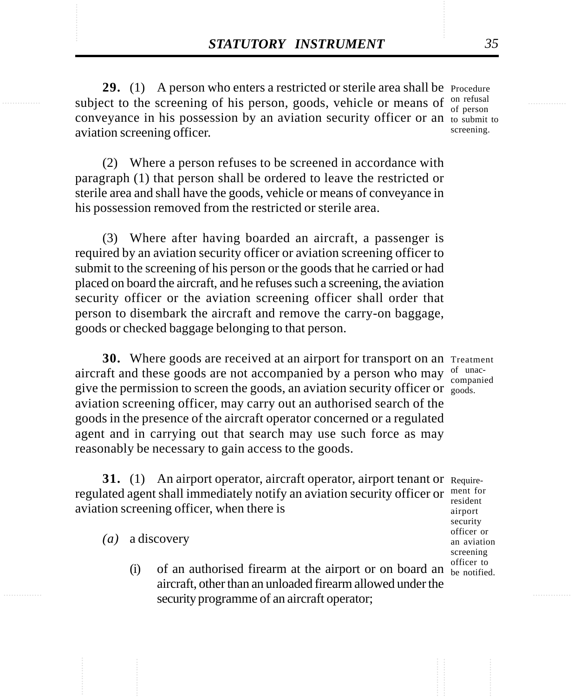**STATUTORY INSTRUMENT** 35<br>
29. (1) A person who enters a restricted or sterile area shall be Procedure<br>
subject to the screening of his person, goods, vehicle or means of <sup>on refusal</sup> **29.** (1) A person who enters a restricted or sterile area shall be Procedure subject to the screening of his person, goods, vehicle or means of  $_{\text{of personal}}^{\text{on refusal}}$ conveyance in his possession by an aviation security officer or an to submit to aviation screening officer.

of person screening.

(2) Where a person refuses to be screened in accordance with paragraph (1) that person shall be ordered to leave the restricted or sterile area and shall have the goods, vehicle or means of conveyance in his possession removed from the restricted or sterile area.

(3) Where after having boarded an aircraft, a passenger is required by an aviation security officer or aviation screening officer to submit to the screening of his person or the goods that he carried or had placed on board the aircraft, and he refuses such a screening, the aviation security officer or the aviation screening officer shall order that person to disembark the aircraft and remove the carry-on baggage, goods or checked baggage belonging to that person.

**30.** Where goods are received at an airport for transport on an Treatment aircraft and these goods are not accompanied by a person who may  $\frac{1}{2}$  compani give the permission to screen the goods, an aviation security officer or goods. aviation screening officer, may carry out an authorised search of the goods in the presence of the aircraft operator concerned or a regulated agent and in carrying out that search may use such force as may reasonably be necessary to gain access to the goods.

**31.** (1) An airport operator, aircraft operator, airport tenant or Requireregulated agent shall immediately notify an aviation security officer or ment for aviation screening officer, when there is

*(a)* a discovery

(i) of an authorised firearm at the airport or on board an  $\frac{6}{b}$  be notified. aircraft, other than an unloaded firearm allowed under the security programme of an aircraft operator;

companied

resident airport security officer or an aviation screening officer to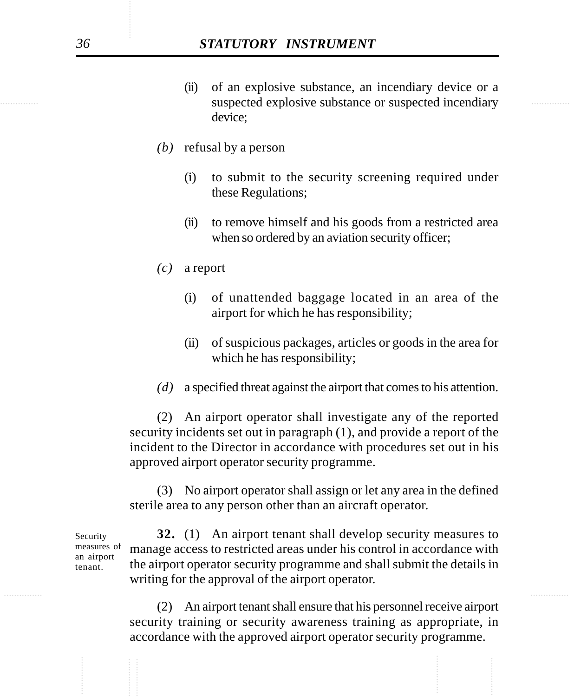- suspected explosive substance or suspected incendiary (ii) of an explosive substance, an incendiary device or a device;
	- *(b)* refusal by a person
		- (i) to submit to the security screening required under these Regulations;
		- (ii) to remove himself and his goods from a restricted area when so ordered by an aviation security officer;
	- *(c)* a report
		- (i) of unattended baggage located in an area of the airport for which he has responsibility;
		- (ii) of suspicious packages, articles or goods in the area for which he has responsibility;
	- *(d)* a specified threat against the airport that comes to his attention.

(2) An airport operator shall investigate any of the reported security incidents set out in paragraph (1), and provide a report of the incident to the Director in accordance with procedures set out in his approved airport operator security programme.

(3) No airport operator shall assign or let any area in the defined sterile area to any person other than an aircraft operator.

**32.** (1) An airport tenant shall develop security measures to manage access to restricted areas under his control in accordance with the airport operator security programme and shall submit the details in writing for the approval of the airport operator. measures of an airport

> (2) An airport tenant shall ensure that his personnel receive airport security training or security awareness training as appropriate, in accordance with the approved airport operator security programme.

Security

tenant.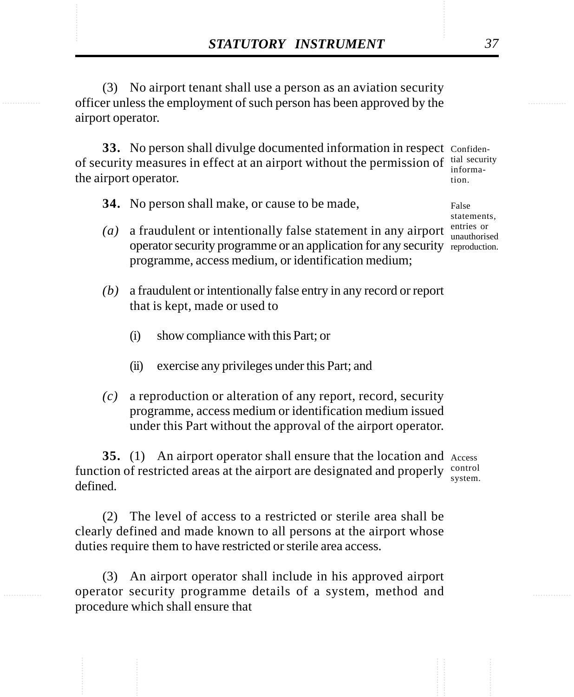**STATUTORY INSTRUMENT** 37<br>
(3) No airport tenant shall use a person as an aviation security<br>
officer unless the employment of such person has been approved by the (3) No airport tenant shall use a person as an aviation security officer unless the employment of such person has been approved by the airport operator.

> **33.** No person shall divulge documented information in respect Confidenof security measures in effect at an airport without the permission of  $\frac{\text{tial security}}{\text{informa}}$ the airport operator. information.

**34.** No person shall make, or cause to be made,

- *(a)* a fraudulent or intentionally false statement in any airport operator security programme or an application for any security reproduction. programme, access medium, or identification medium;
- *(b)* a fraudulent or intentionally false entry in any record or report that is kept, made or used to
	- (i) show compliance with this Part; or
	- (ii) exercise any privileges under this Part; and
- *(c)* a reproduction or alteration of any report, record, security programme, access medium or identification medium issued under this Part without the approval of the airport operator.

**35.** (1) An airport operator shall ensure that the location and Access function of restricted areas at the airport are designated and properly control defined. system.

(2) The level of access to a restricted or sterile area shall be clearly defined and made known to all persons at the airport whose duties require them to have restricted or sterile area access.

(3) An airport operator shall include in his approved airport operator security programme details of a system, method and procedure which shall ensure that

False statements, entries or unauthorised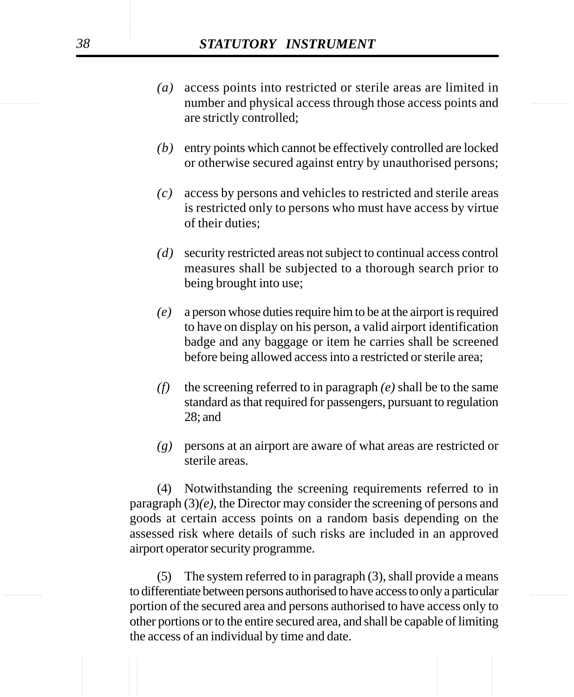- number and physical access through those access points and *(a)* access points into restricted or sterile areas are limited in are strictly controlled;
	- *(b)* entry points which cannot be effectively controlled are locked or otherwise secured against entry by unauthorised persons;
	- *(c)* access by persons and vehicles to restricted and sterile areas is restricted only to persons who must have access by virtue of their duties;
	- *(d)* security restricted areas not subject to continual access control measures shall be subjected to a thorough search prior to being brought into use;
	- *(e)* a person whose duties require him to be at the airport is required to have on display on his person, a valid airport identification badge and any baggage or item he carries shall be screened before being allowed access into a restricted or sterile area;
	- *(f)* the screening referred to in paragraph *(e)* shall be to the same standard as that required for passengers, pursuant to regulation 28; and
	- *(g)* persons at an airport are aware of what areas are restricted or sterile areas.

(4) Notwithstanding the screening requirements referred to in paragraph (3)*(e)*, the Director may consider the screening of persons and goods at certain access points on a random basis depending on the assessed risk where details of such risks are included in an approved airport operator security programme.

............... ............... to differentiate between persons authorised to have access to only a particular (5) The system referred to in paragraph (3), shall provide a means portion of the secured area and persons authorised to have access only to other portions or to the entire secured area, and shall be capable of limiting the access of an individual by time and date.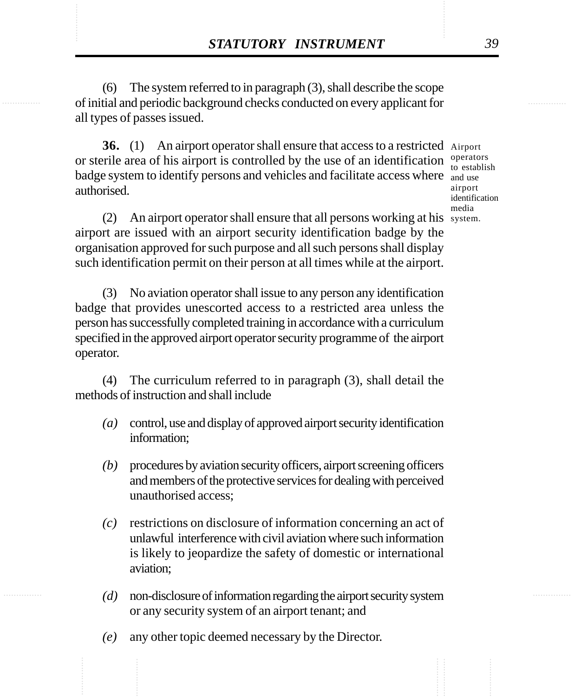**STATUTORY INSTRUMENT** 39<br>
(6) The system referred to in paragraph (3), shall describe the scope<br>
of initial and periodic background checks conducted on every applicant for (6) The system referred to in paragraph (3), shall describe the scope of initial and periodic background checks conducted on every applicant for all types of passes issued.

> **36.** (1) An airport operator shall ensure that access to a restricted Airport or sterile area of his airport is controlled by the use of an identification  $\frac{operators}{10-2}$ badge system to identify persons and vehicles and facilitate access where and use authorised.

to establish airport identification media

(2) An airport operator shall ensure that all persons working at his system.airport are issued with an airport security identification badge by the organisation approved for such purpose and all such persons shall display such identification permit on their person at all times while at the airport.

(3) No aviation operator shall issue to any person any identification badge that provides unescorted access to a restricted area unless the person has successfully completed training in accordance with a curriculum specified in the approved airport operator security programme of the airport operator.

(4) The curriculum referred to in paragraph (3), shall detail the methods of instruction and shall include

- *(a)* control, use and display of approved airport security identification information;
- *(b)* procedures by aviation security officers, airport screening officers and members of the protective services for dealing with perceived unauthorised access;
- *(c)* restrictions on disclosure of information concerning an act of unlawful interference with civil aviation where such information is likely to jeopardize the safety of domestic or international aviation;
- *(d)* non-disclosure of information regarding the airport security system or any security system of an airport tenant; and
- *(e)* any other topic deemed necessary by the Director.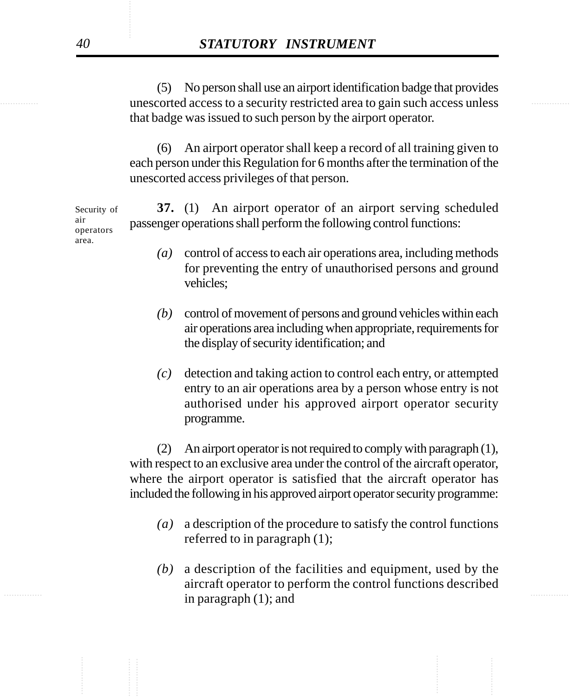unescorted access to a security restricted area to gain such access unless (5) No person shall use an airport identification badge that provides that badge was issued to such person by the airport operator.

> (6) An airport operator shall keep a record of all training given to each person under this Regulation for 6 months after the termination of the unescorted access privileges of that person.

**37.** (1) An airport operator of an airport serving scheduled passenger operations shall perform the following control functions: Security of air operators area.

- *(a)* control of access to each air operations area, including methods for preventing the entry of unauthorised persons and ground vehicles;
- *(b)* control of movement of persons and ground vehicles within each air operations area including when appropriate, requirements for the display of security identification; and
- *(c)* detection and taking action to control each entry, or attempted entry to an air operations area by a person whose entry is not authorised under his approved airport operator security programme.

(2) An airport operator is not required to comply with paragraph (1), with respect to an exclusive area under the control of the aircraft operator, where the airport operator is satisfied that the aircraft operator has included the following in his approved airport operator security programme:

- *(a)* a description of the procedure to satisfy the control functions referred to in paragraph (1);
- ............... ............... *(b)* a description of the facilities and equipment, used by the aircraft operator to perform the control functions described in paragraph (1); and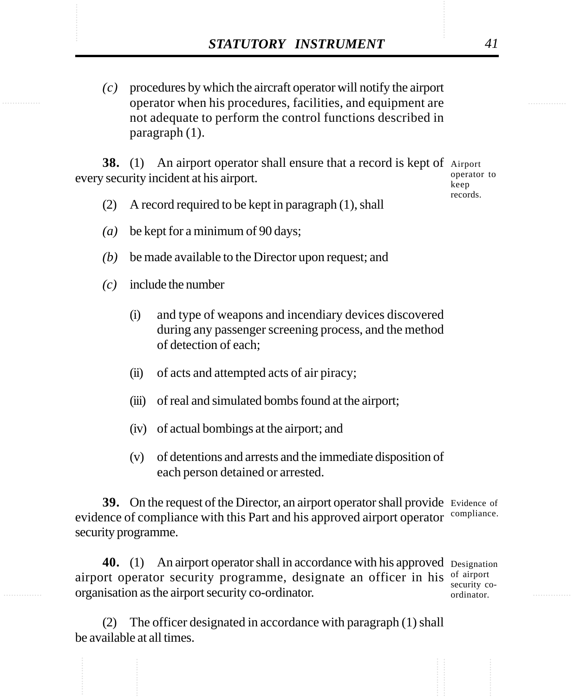STATUTORY INSTRUMENT 41<br>
(c) procedures by which the aircraft operator will notify the airport<br>
operator when his procedures. facilities, and equipment are *(c)* procedures by which the aircraft operator will notify the airport operator when his procedures, facilities, and equipment are not adequate to perform the control functions described in paragraph (1).

> **38.** (1) An airport operator shall ensure that a record is kept of Airport every security incident at his airport.

operator to keep records.

- (2) A record required to be kept in paragraph (1), shall
- *(a)* be kept for a minimum of 90 days;
- *(b)* be made available to the Director upon request; and
- *(c)* include the number
	- (i) and type of weapons and incendiary devices discovered during any passenger screening process, and the method of detection of each;
	- (ii) of acts and attempted acts of air piracy;
	- (iii) of real and simulated bombs found at the airport;
	- (iv) of actual bombings at the airport; and
	- (v) of detentions and arrests and the immediate disposition of each person detained or arrested.

**39.** On the request of the Director, an airport operator shall provide Evidence of evidence of compliance with this Part and his approved airport operator security programme. compliance.

40. (1) An airport operator shall in accordance with his approved Designation airport operator security programme, designate an officer in his of airport organisation as the airport security co-ordinator.

security coordinator.

(2) The officer designated in accordance with paragraph (1) shall be available at all times.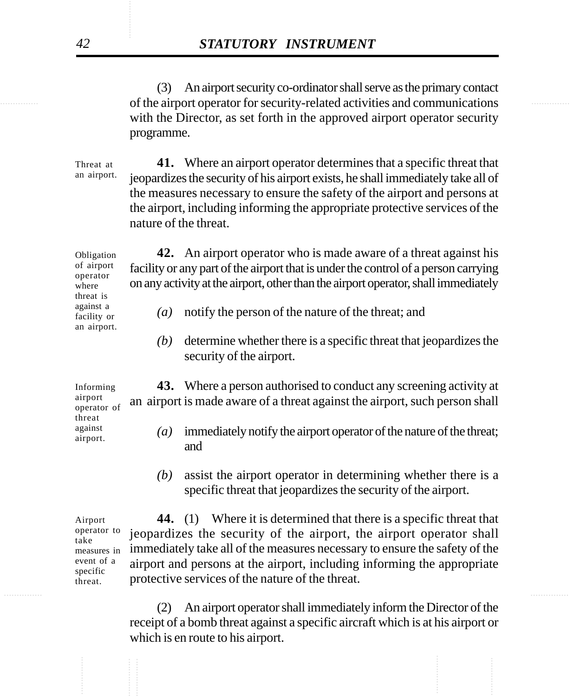of the airport operator for security-related activities and communications (3) An airport security co-ordinator shall serve as the primary contact with the Director, as set forth in the approved airport operator security programme.

> **41.** Where an airport operator determines that a specific threat that jeopardizes the security of his airport exists, he shall immediately take all of the measures necessary to ensure the safety of the airport and persons at the airport, including informing the appropriate protective services of the nature of the threat. Threat at an airport.

> **42.** An airport operator who is made aware of a threat against his facility or any part of the airport that is under the control of a person carrying on any activity at the airport, other than the airport operator, shall immediately Obligation of airport operator threat is

- *(a)* notify the person of the nature of the threat; and
- *(b)* determine whether there is a specific threat that jeopardizes the security of the airport.

**43.** Where a person authorised to conduct any screening activity at an airport is made aware of a threat against the airport, such person shall

- *(a)* immediately notify the airport operator of the nature of the threat; and
- *(b)* assist the airport operator in determining whether there is a specific threat that jeopardizes the security of the airport.

**44.** (1) Where it is determined that there is a specific threat that jeopardizes the security of the airport, the airport operator shall immediately take all of the measures necessary to ensure the safety of the airport and persons at the airport, including informing the appropriate protective services of the nature of the threat.

An airport operator shall immediately inform the Director of the receipt of a bomb threat against a specific aircraft which is at his airport or which is en route to his airport.

Informing airport operator of threat against

airport.

where

against a facility or an airport.

Airport operator to take measures in event of a specific threat.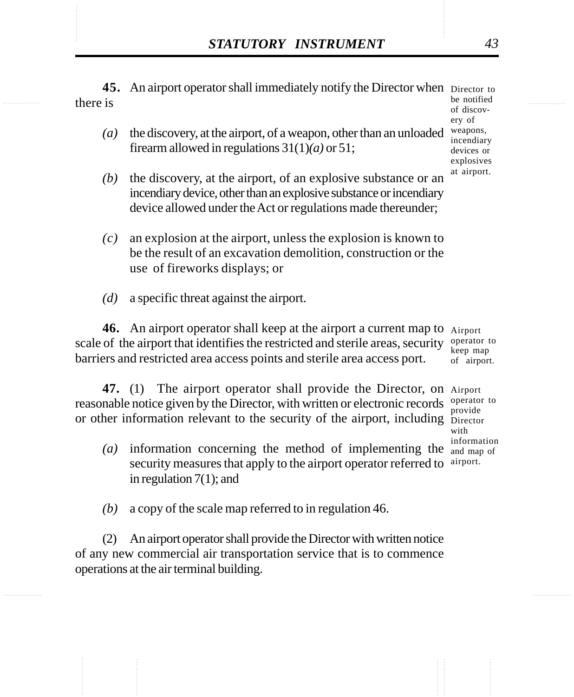**STATUTORY INSTRUMENT** 43<br>45. An airport operator shall immediately notify the Director when Director to there is **45.** An airport operator shall immediately notify the Director when Director to there is

- *(a)* the discovery, at the airport, of a weapon, other than an unloaded firearm allowed in regulations 31(1)*(a)* or 51;
- *(b)* the discovery, at the airport, of an explosive substance or an incendiary device, other than an explosive substance or incendiary device allowed under the Act or regulations made thereunder;
- *(c)* an explosion at the airport, unless the explosion is known to be the result of an excavation demolition, construction or the use of fireworks displays; or
- *(d)* a specific threat against the airport.

**46.** An airport operator shall keep at the airport a current map to Airport scale of the airport that identifies the restricted and sterile areas, security barriers and restricted area access points and sterile area access port.

47. (1) The airport operator shall provide the Director, on Airport reasonable notice given by the Director, with written or electronic records operator to or other information relevant to the security of the airport, including Director

- *(a)* information concerning the method of implementing the security measures that apply to the airport operator referred to in regulation 7(1); and
- *(b)* a copy of the scale map referred to in regulation 46.

(2) An airport operator shall provide the Director with written notice of any new commercial air transportation service that is to commence operations at the air terminal building.

operator to keep map of airport.

provide with information and map of airport.

be notified of discovery of weapons, incendiary devices or explosives at airport.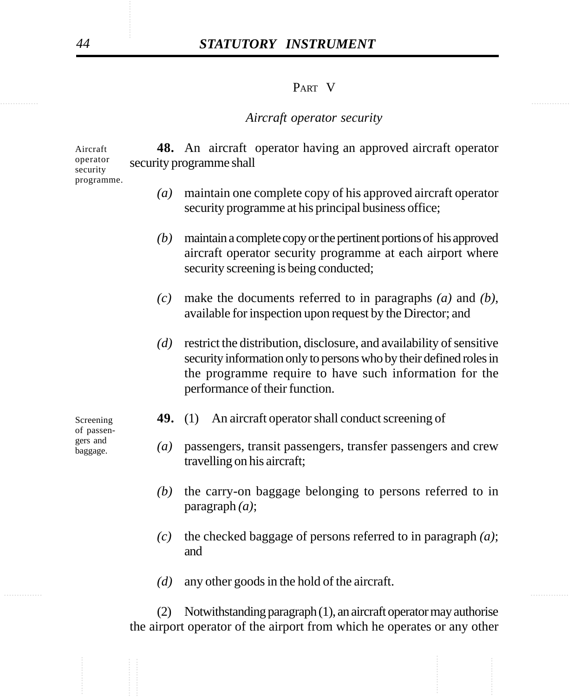# *44 STATUTORY INSTRUMENT*

#### PART V

#### *Aircraft operator security*

**48.** An aircraft operator having an approved aircraft operator security programme shall Aircraft operator security

- *(a)* maintain one complete copy of his approved aircraft operator security programme at his principal business office;
- *(b)* maintain a complete copy or the pertinent portions of his approved aircraft operator security programme at each airport where security screening is being conducted;
- *(c)* make the documents referred to in paragraphs *(a)* and *(b)*, available for inspection upon request by the Director; and
- *(d)* restrict the distribution, disclosure, and availability of sensitive security information only to persons who by their defined roles in the programme require to have such information for the performance of their function.

Screening of passengers and baggage.

- **49.** (1) An aircraft operator shall conduct screening of
- *(a)* passengers, transit passengers, transfer passengers and crew travelling on his aircraft;
- *(b)* the carry-on baggage belonging to persons referred to in paragraph *(a)*;
- *(c)* the checked baggage of persons referred to in paragraph *(a)*; and
- ............... ............... *(d)* any other goods in the hold of the aircraft.

(2) Notwithstanding paragraph (1), an aircraft operator may authorise the airport operator of the airport from which he operates or any other

programme.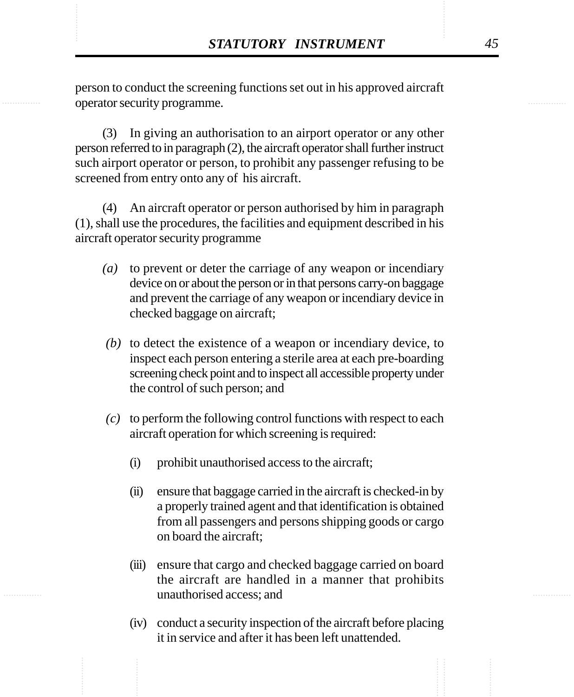STATUTORY INSTRUMENT<br>
person to conduct the screening functions set out in his approved aircraft<br>
operator security programme. person to conduct the screening functions set out in his approved aircraft operator security programme.

> (3) In giving an authorisation to an airport operator or any other person referred to in paragraph (2), the aircraft operator shall further instruct such airport operator or person, to prohibit any passenger refusing to be screened from entry onto any of his aircraft.

> (4) An aircraft operator or person authorised by him in paragraph (1), shall use the procedures, the facilities and equipment described in his aircraft operator security programme

- *(a)* to prevent or deter the carriage of any weapon or incendiary device on or about the person or in that persons carry-on baggage and prevent the carriage of any weapon or incendiary device in checked baggage on aircraft;
- *(b)* to detect the existence of a weapon or incendiary device, to inspect each person entering a sterile area at each pre-boarding screening check point and to inspect all accessible property under the control of such person; and
- *(c)* to perform the following control functions with respect to each aircraft operation for which screening is required:
	- (i) prohibit unauthorised access to the aircraft;
	- (ii) ensure that baggage carried in the aircraft is checked-in by a properly trained agent and that identification is obtained from all passengers and persons shipping goods or cargo on board the aircraft;
	- (iii) ensure that cargo and checked baggage carried on board the aircraft are handled in a manner that prohibits unauthorised access; and
	- (iv) conduct a security inspection of the aircraft before placing it in service and after it has been left unattended.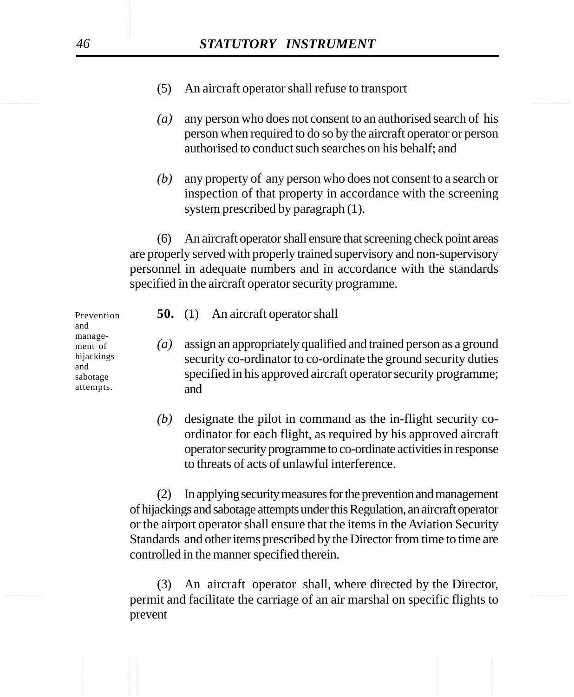- (5) An aircraft operator shall refuse to transport
- *(a)* any person who does not consent to an authorised search of his person when required to do so by the aircraft operator or person authorised to conduct such searches on his behalf; and
- *(b)* any property of any person who does not consent to a search or inspection of that property in accordance with the screening system prescribed by paragraph (1).

An aircraft operator shall ensure that screening check point areas are properly served with properly trained supervisory and non-supervisory personnel in adequate numbers and in accordance with the standards specified in the aircraft operator security programme.

| Prevention<br>and                                                                     | <b>50.</b> (1) An aircraft operator shall                                                                                                                                                                     |
|---------------------------------------------------------------------------------------|---------------------------------------------------------------------------------------------------------------------------------------------------------------------------------------------------------------|
| manage-<br>$\left( a\right)$<br>ment of<br>hijackings<br>and<br>sabotage<br>attempts. | assign an appropriately qualified and trained person as a ground<br>security co-ordinator to co-ordinate the ground security duties<br>specified in his approved aircraft operator security programme;<br>and |

*(b)* designate the pilot in command as the in-flight security coordinator for each flight, as required by his approved aircraft operator security programme to co-ordinate activities in response to threats of acts of unlawful interference.

(2) In applying security measures for the prevention and management of hijackings and sabotage attempts under this Regulation, an aircraft operator or the airport operator shall ensure that the items in the Aviation Security Standards and other items prescribed by the Director from time to time are controlled in the manner specified therein.

............... ............... permit and facilitate the carriage of an air marshal on specific flights to (3) An aircraft operator shall, where directed by the Director, prevent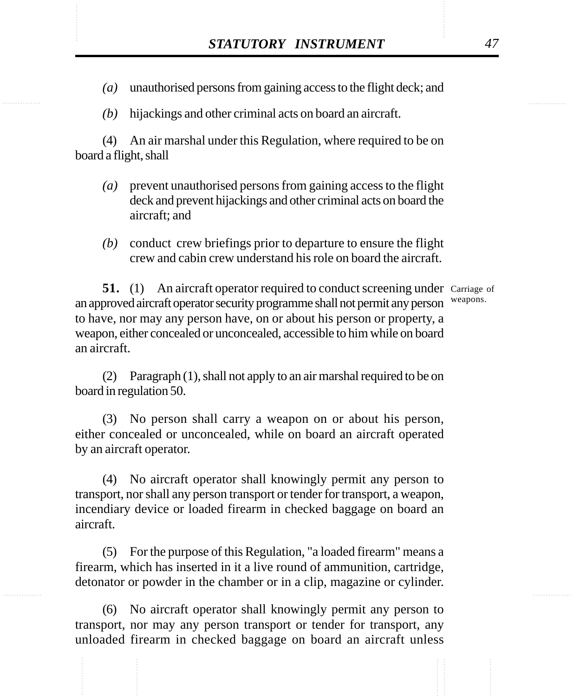- STATUTORY INSTRUMENT 47<br>(a) unauthorised persons from gaining access to the flight deck; and *(a)* unauthorised persons from gaining access to the flight deck; and
	- *(b)* hijackings and other criminal acts on board an aircraft.

(4) An air marshal under this Regulation, where required to be on board a flight, shall

- *(a)* prevent unauthorised persons from gaining access to the flight deck and prevent hijackings and other criminal acts on board the aircraft; and
- *(b)* conduct crew briefings prior to departure to ensure the flight crew and cabin crew understand his role on board the aircraft.

**51.** (1) An aircraft operator required to conduct screening under Carriage of an approved aircraft operator security programme shall not permit any person to have, nor may any person have, on or about his person or property, a weapon, either concealed or unconcealed, accessible to him while on board an aircraft. weapons.

(2) Paragraph (1), shall not apply to an air marshal required to be on board in regulation 50.

(3) No person shall carry a weapon on or about his person, either concealed or unconcealed, while on board an aircraft operated by an aircraft operator.

(4) No aircraft operator shall knowingly permit any person to transport, nor shall any person transport or tender for transport, a weapon, incendiary device or loaded firearm in checked baggage on board an aircraft.

(5) For the purpose of this Regulation, "a loaded firearm" means a firearm, which has inserted in it a live round of ammunition, cartridge, detonator or powder in the chamber or in a clip, magazine or cylinder.

(6) No aircraft operator shall knowingly permit any person to transport, nor may any person transport or tender for transport, any unloaded firearm in checked baggage on board an aircraft unless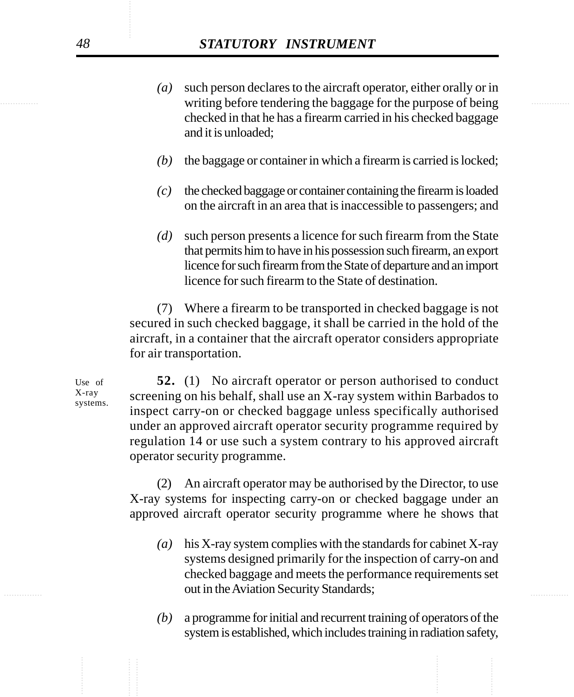- writing before tendering the baggage for the purpose of being *(a)* such person declares to the aircraft operator, either orally or in checked in that he has a firearm carried in his checked baggage and it is unloaded;
	- *(b)* the baggage or container in which a firearm is carried is locked;
	- *(c)* the checked baggage or container containing the firearm is loaded on the aircraft in an area that is inaccessible to passengers; and
	- *(d)* such person presents a licence for such firearm from the State that permits him to have in his possession such firearm, an export licence for such firearm from the State of departure and an import licence for such firearm to the State of destination.

(7) Where a firearm to be transported in checked baggage is not secured in such checked baggage, it shall be carried in the hold of the aircraft, in a container that the aircraft operator considers appropriate for air transportation.

**52.** (1) No aircraft operator or person authorised to conduct screening on his behalf, shall use an X-ray system within Barbados to inspect carry-on or checked baggage unless specifically authorised under an approved aircraft operator security programme required by regulation 14 or use such a system contrary to his approved aircraft operator security programme.

(2) An aircraft operator may be authorised by the Director, to use X-ray systems for inspecting carry-on or checked baggage under an approved aircraft operator security programme where he shows that

- out in the Aviation Security Standards; *(a)* his X-ray system complies with the standards for cabinet X-ray systems designed primarily for the inspection of carry-on and checked baggage and meets the performance requirements set
	- *(b)* a programme for initial and recurrent training of operators of the system is established, which includes training in radiation safety,

Use of X-ray systems.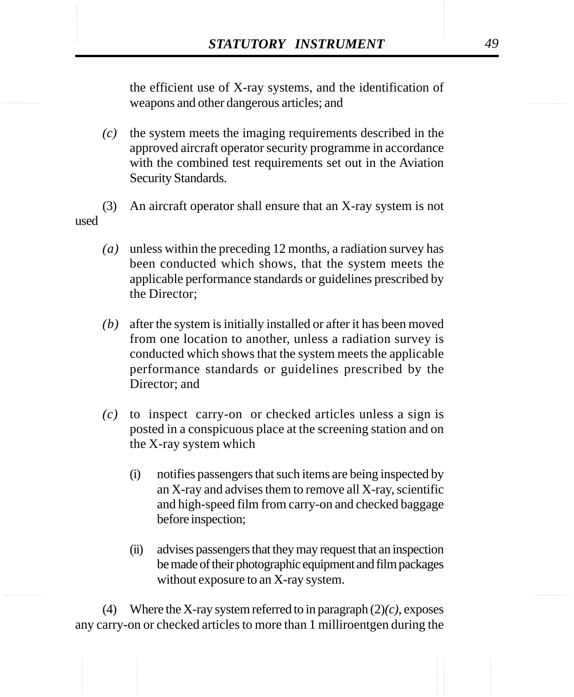**STATUTORY INSTRUMENT** 49<br>the efficient use of X-ray systems, and the identification of<br>weapons and other dangerous articles: and the efficient use of X-ray systems, and the identification of weapons and other dangerous articles; and

- *(c)* the system meets the imaging requirements described in the approved aircraft operator security programme in accordance with the combined test requirements set out in the Aviation Security Standards.
- (3) An aircraft operator shall ensure that an X-ray system is not used
	- *(a)* unless within the preceding 12 months, a radiation survey has been conducted which shows, that the system meets the applicable performance standards or guidelines prescribed by the Director;
	- *(b)* after the system is initially installed or after it has been moved from one location to another, unless a radiation survey is conducted which shows that the system meets the applicable performance standards or guidelines prescribed by the Director; and
	- *(c)* to inspect carry-on or checked articles unless a sign is posted in a conspicuous place at the screening station and on the X-ray system which
		- (i) notifies passengers that such items are being inspected by an X-ray and advises them to remove all X-ray, scientific and high-speed film from carry-on and checked baggage before inspection;
		- (ii) advises passengers that they may request that an inspection be made of their photographic equipment and film packages without exposure to an X-ray system.

(4) Where the X-ray system referred to in paragraph (2)*(c)*, exposes any carry-on or checked articles to more than 1 milliroentgen during the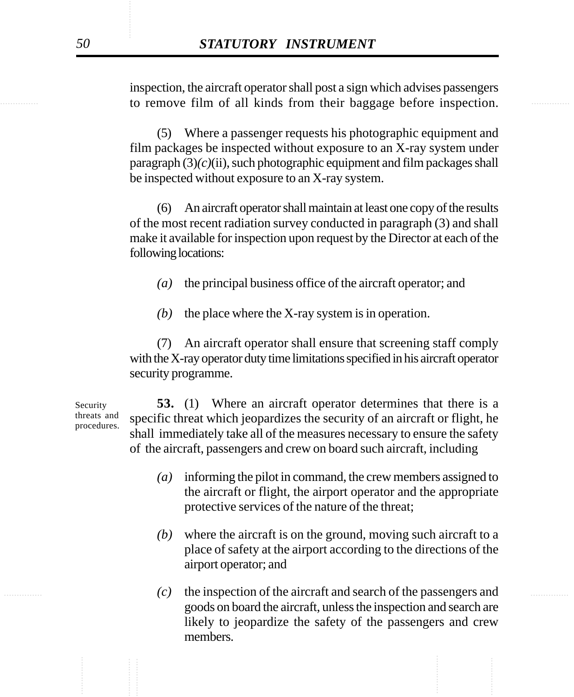............... ............... to remove film of all kinds from their baggage before inspection. inspection, the aircraft operator shall post a sign which advises passengers

> (5) Where a passenger requests his photographic equipment and film packages be inspected without exposure to an X-ray system under  $\frac{p}{q}$  paragraph  $(3)(c)(ii)$ , such photographic equipment and film packages shall be inspected without exposure to an X-ray system.

> (6) An aircraft operator shall maintain at least one copy of the results of the most recent radiation survey conducted in paragraph (3) and shall make it available for inspection upon request by the Director at each of the following locations:

- *(a)* the principal business office of the aircraft operator; and
- *(b)* the place where the X-ray system is in operation.

(7) An aircraft operator shall ensure that screening staff comply with the X-ray operator duty time limitations specified in his aircraft operator security programme.

**53.** (1) Where an aircraft operator determines that there is a specific threat which jeopardizes the security of an aircraft or flight, he shall immediately take all of the measures necessary to ensure the safety of the aircraft, passengers and crew on board such aircraft, including

- *(a)* informing the pilot in command, the crew members assigned to the aircraft or flight, the airport operator and the appropriate protective services of the nature of the threat;
- *(b)* where the aircraft is on the ground, moving such aircraft to a place of safety at the airport according to the directions of the airport operator; and
- ............... ............... *(c)* the inspection of the aircraft and search of the passengers and goods on board the aircraft, unless the inspection and search are likely to jeopardize the safety of the passengers and crew members.

Security threats and procedures.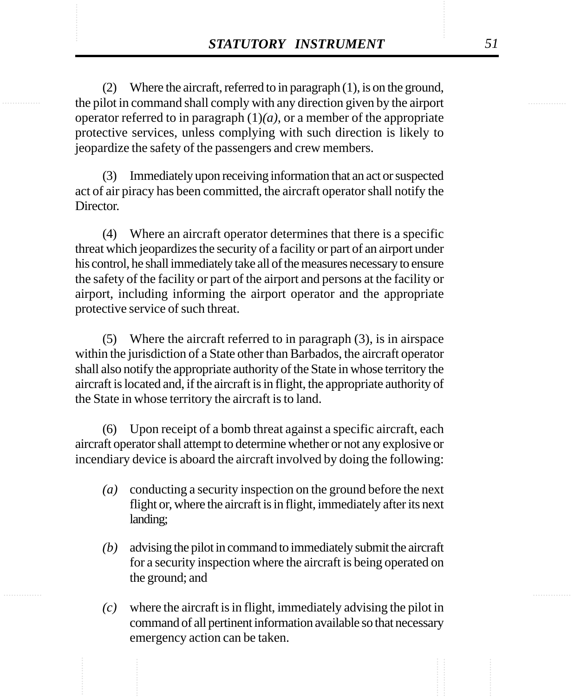**STATUTORY INSTRUMENT** 51<br>
(2) Where the aircraft, referred to in paragraph (1), is on the ground,<br>
the pilot in command shall comply with any direction given by the airport (2) Where the aircraft, referred to in paragraph (1), is on the ground, the pilot in command shall comply with any direction given by the airport operator referred to in paragraph  $(1)(a)$ , or a member of the appropriate protective services, unless complying with such direction is likely to jeopardize the safety of the passengers and crew members.

> (3) Immediately upon receiving information that an act or suspected act of air piracy has been committed, the aircraft operator shall notify the **Director**

> (4) Where an aircraft operator determines that there is a specific threat which jeopardizes the security of a facility or part of an airport under his control, he shall immediately take all of the measures necessary to ensure the safety of the facility or part of the airport and persons at the facility or airport, including informing the airport operator and the appropriate protective service of such threat.

> (5) Where the aircraft referred to in paragraph (3), is in airspace within the jurisdiction of a State other than Barbados, the aircraft operator shall also notify the appropriate authority of the State in whose territory the aircraft is located and, if the aircraft is in flight, the appropriate authority of the State in whose territory the aircraft is to land.

> (6) Upon receipt of a bomb threat against a specific aircraft, each aircraft operator shall attempt to determine whether or not any explosive or incendiary device is aboard the aircraft involved by doing the following:

- *(a)* conducting a security inspection on the ground before the next flight or, where the aircraft is in flight, immediately after its next landing;
- *(b)* advising the pilot in command to immediately submit the aircraft for a security inspection where the aircraft is being operated on the ground; and
- *(c)* where the aircraft is in flight, immediately advising the pilot in command of all pertinent information available so that necessary emergency action can be taken.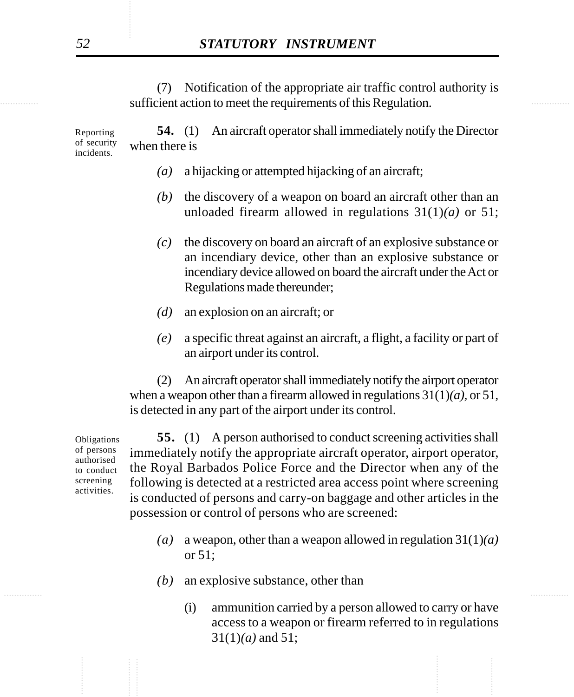sufficient action to meet the requirements of this Regulation. (7) Notification of the appropriate air traffic control authority is

> **54.** (1) An aircraft operator shall immediately notify the Director when there is Reporting of security

- *(a)* a hijacking or attempted hijacking of an aircraft;
- *(b)* the discovery of a weapon on board an aircraft other than an unloaded firearm allowed in regulations 31(1)*(a)* or 51;
- *(c)* the discovery on board an aircraft of an explosive substance or an incendiary device, other than an explosive substance or incendiary device allowed on board the aircraft under the Act or Regulations made thereunder;
- *(d)* an explosion on an aircraft; or
- *(e)* a specific threat against an aircraft, a flight, a facility or part of an airport under its control.

(2) An aircraft operator shall immediately notify the airport operator when a weapon other than a firearm allowed in regulations 31(1)*(a)*, or 51, is detected in any part of the airport under its control.

Obligations of persons authorised to conduct screening activities.

**55.** (1) A person authorised to conduct screening activities shall immediately notify the appropriate aircraft operator, airport operator, the Royal Barbados Police Force and the Director when any of the following is detected at a restricted area access point where screening is conducted of persons and carry-on baggage and other articles in the possession or control of persons who are screened:

- *(a)* a weapon, other than a weapon allowed in regulation 31(1)*(a)* or 51;
- *(b)* an explosive substance, other than
	- (i) ammunition carried by a person allowed to carry or have access to a weapon or firearm referred to in regulations 31(1)*(a)* and 51;

incidents.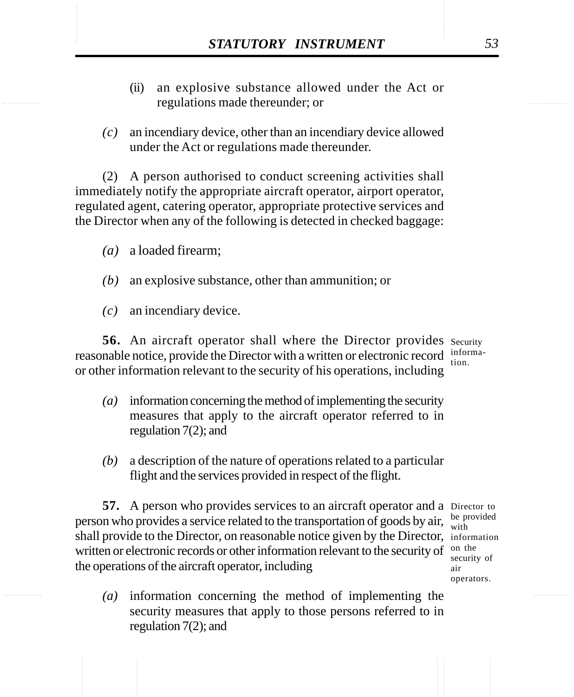- **STATUTORY INSTRUMENT** 53<br>(ii) an explosive substance allowed under the Act or regulations made thereunder; or (ii) an explosive substance allowed under the Act or regulations made thereunder; or
	- *(c)* an incendiary device, other than an incendiary device allowed under the Act or regulations made thereunder.

(2) A person authorised to conduct screening activities shall immediately notify the appropriate aircraft operator, airport operator, regulated agent, catering operator, appropriate protective services and the Director when any of the following is detected in checked baggage:

- *(a)* a loaded firearm;
- *(b)* an explosive substance, other than ammunition; or
- *(c)* an incendiary device.

56. An aircraft operator shall where the Director provides security reasonable notice, provide the Director with a written or electronic record informaor other information relevant to the security of his operations, including tion.

- *(a)* information concerning the method of implementing the security measures that apply to the aircraft operator referred to in regulation 7(2); and
- *(b)* a description of the nature of operations related to a particular flight and the services provided in respect of the flight.

**57.** A person who provides services to an aircraft operator and a Director to person who provides a service related to the transportation of goods by air,  $\frac{be \text{ provided}}{with}$ shall provide to the Director, on reasonable notice given by the Director, information written or electronic records or other information relevant to the security of  $\frac{0}{\omega}$  the the operations of the aircraft operator, including

- with security of air operators.
- *(a)* information concerning the method of implementing the security measures that apply to those persons referred to in regulation 7(2); and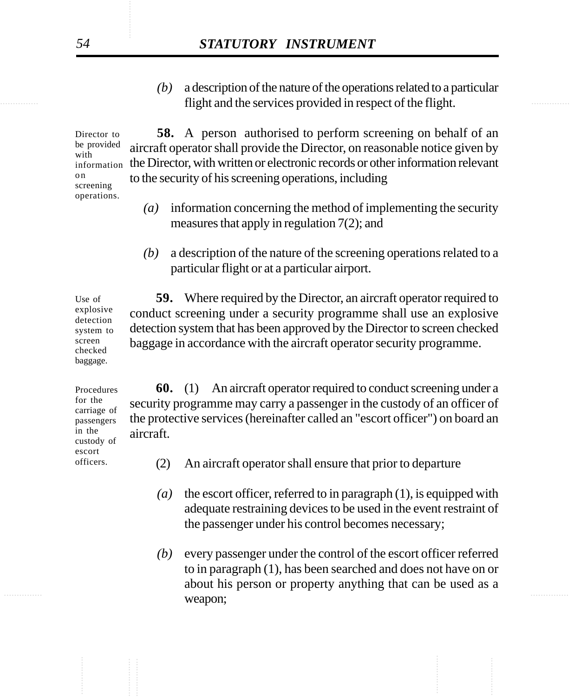flight and the services provided in respect of the flight. *(b)* a description of the nature of the operations related to a particular

> **58.** A person authorised to perform screening on behalf of an aircraft operator shall provide the Director, on reasonable notice given by the Director, with written or electronic records or other information relevant to the security of his screening operations, including Director to be provided with information screening operations.

- *(a)* information concerning the method of implementing the security measures that apply in regulation 7(2); and
- *(b)* a description of the nature of the screening operations related to a particular flight or at a particular airport.

**59.** Where required by the Director, an aircraft operator required to conduct screening under a security programme shall use an explosive detection system that has been approved by the Director to screen checked baggage in accordance with the aircraft operator security programme. explosive detection system to

Procedures for the carriage of passengers in the custody of escort officers.

**60.** (1) An aircraft operator required to conduct screening under a security programme may carry a passenger in the custody of an officer of the protective services (hereinafter called an "escort officer") on board an aircraft.

- (2) An aircraft operator shall ensure that prior to departure
- *(a)* the escort officer, referred to in paragraph (1), is equipped with adequate restraining devices to be used in the event restraint of the passenger under his control becomes necessary;
- ............... ............... *(b)* every passenger under the control of the escort officer referred to in paragraph (1), has been searched and does not have on or about his person or property anything that can be used as a weapon;

o n

Use of

screen checked baggage.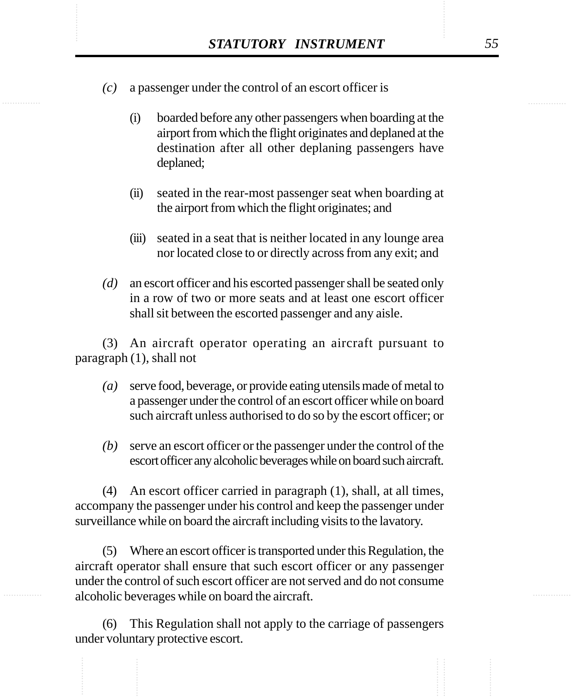- STATUTORY INSTRUMENT 55<br>(c) a passenger under the control of an escort officer is *(c)* a passenger under the control of an escort officer is
	- (i) boarded before any other passengers when boarding at the airport from which the flight originates and deplaned at the destination after all other deplaning passengers have deplaned;
	- (ii) seated in the rear-most passenger seat when boarding at the airport from which the flight originates; and
	- (iii) seated in a seat that is neither located in any lounge area nor located close to or directly across from any exit; and
	- *(d)* an escort officer and his escorted passenger shall be seated only in a row of two or more seats and at least one escort officer shall sit between the escorted passenger and any aisle.

(3) An aircraft operator operating an aircraft pursuant to paragraph (1), shall not

- *(a)* serve food, beverage, or provide eating utensils made of metal to a passenger under the control of an escort officer while on board such aircraft unless authorised to do so by the escort officer; or
- *(b)* serve an escort officer or the passenger under the control of the escort officer any alcoholic beverages while on board such aircraft.

(4) An escort officer carried in paragraph (1), shall, at all times, accompany the passenger under his control and keep the passenger under surveillance while on board the aircraft including visits to the lavatory.

(5) Where an escort officer is transported under this Regulation, the aircraft operator shall ensure that such escort officer or any passenger under the control of such escort officer are not served and do not consume alcoholic beverages while on board the aircraft.

(6) This Regulation shall not apply to the carriage of passengers under voluntary protective escort.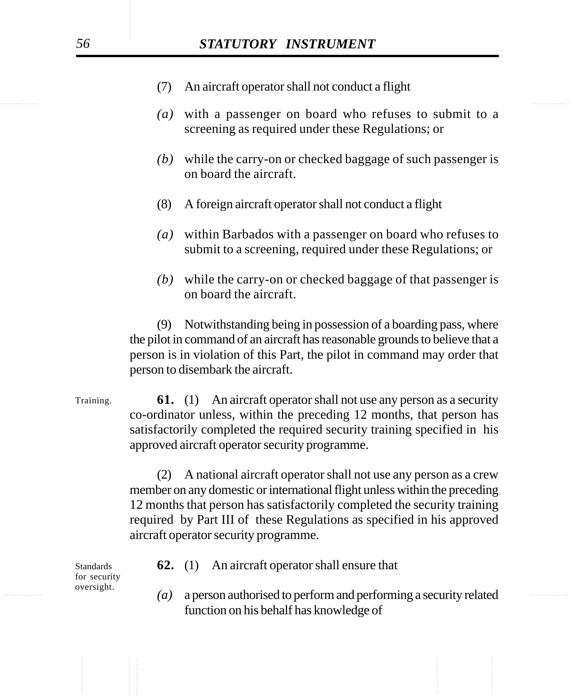- (7) An aircraft operator shall not conduct a flight
- *(a)* with a passenger on board who refuses to submit to a screening as required under these Regulations; or
- *(b)* while the carry-on or checked baggage of such passenger is on board the aircraft.
- (8) A foreign aircraft operator shall not conduct a flight
- *(a)* within Barbados with a passenger on board who refuses to submit to a screening, required under these Regulations; or
- *(b)* while the carry-on or checked baggage of that passenger is on board the aircraft.

(9) Notwithstanding being in possession of a boarding pass, where the pilot in command of an aircraft has reasonable grounds to believe that a person is in violation of this Part, the pilot in command may order that person to disembark the aircraft.

**61.** (1) An aircraft operator shall not use any person as a security co-ordinator unless, within the preceding 12 months, that person has satisfactorily completed the required security training specified in his approved aircraft operator security programme. Training.

> (2) A national aircraft operator shall not use any person as a crew member on any domestic or international flight unless within the preceding 12 months that person has satisfactorily completed the security training required by Part III of these Regulations as specified in his approved aircraft operator security programme.

**62.** (1) An aircraft operator shall ensure that

............... ............... *(a)* a person authorised to perform and performing a security related function on his behalf has knowledge of

Standards for security oversight.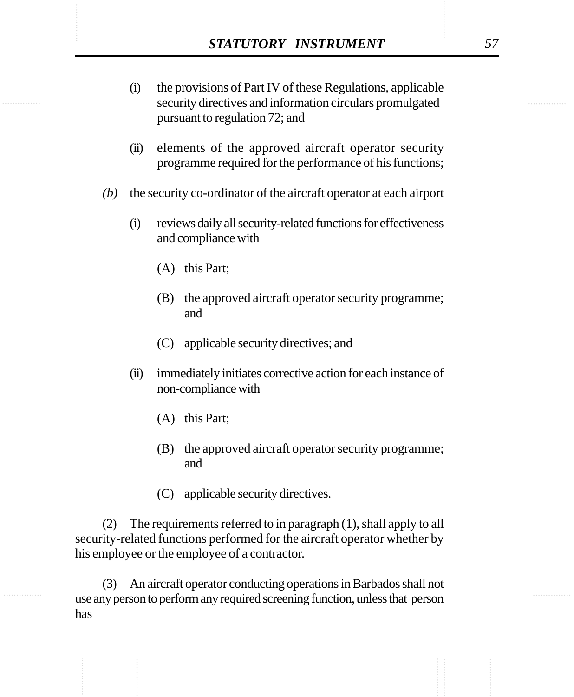- **STATUTORY INSTRUMENT** 57<br>
(i) the provisions of Part IV of these Regulations, applicable<br>
security directives and information circulars promulgated (i) the provisions of Part IV of these Regulations, applicable security directives and information circulars promulgated pursuant to regulation 72; and
	- (ii) elements of the approved aircraft operator security programme required for the performance of his functions;
	- *(b)* the security co-ordinator of the aircraft operator at each airport
		- (i) reviews daily all security-related functions for effectiveness and compliance with
			- (A) this Part;
			- (B) the approved aircraft operator security programme; and
			- (C) applicable security directives; and
		- (ii) immediately initiates corrective action for each instance of non-compliance with
			- (A) this Part;
			- (B) the approved aircraft operator security programme; and
			- (C) applicable security directives.

(2) The requirements referred to in paragraph (1), shall apply to all security-related functions performed for the aircraft operator whether by his employee or the employee of a contractor.

(3) An aircraft operator conducting operations in Barbados shall not use any person to perform any required screening function, unless that person has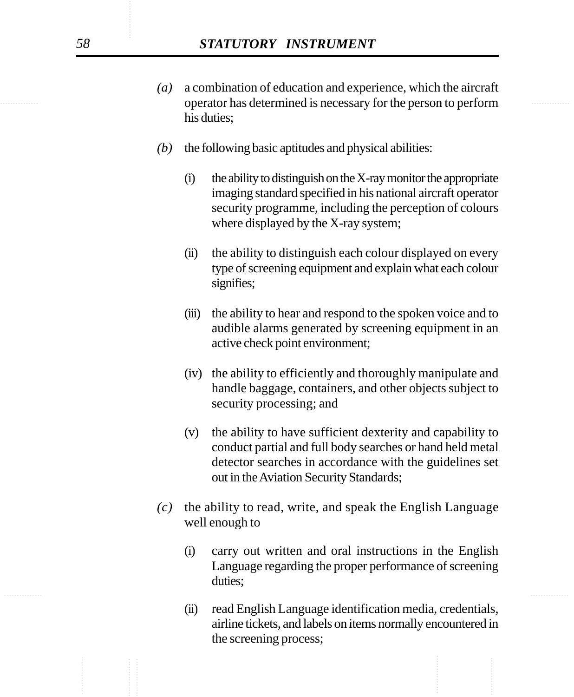- ............... ............... operator has determined is necessary for the person to perform *(a)* a combination of education and experience, which the aircraft his duties;
	- *(b)* the following basic aptitudes and physical abilities:
		- $(i)$  the ability to distinguish on the X-ray monitor the appropriate imaging standard specified in his national aircraft operator security programme, including the perception of colours where displayed by the X-ray system;
		- (ii) the ability to distinguish each colour displayed on every type of screening equipment and explain what each colour signifies;
		- (iii) the ability to hear and respond to the spoken voice and to audible alarms generated by screening equipment in an active check point environment;
		- (iv) the ability to efficiently and thoroughly manipulate and handle baggage, containers, and other objects subject to security processing; and
		- (v) the ability to have sufficient dexterity and capability to conduct partial and full body searches or hand held metal detector searches in accordance with the guidelines set out in the Aviation Security Standards;
	- *(c)* the ability to read, write, and speak the English Language well enough to
		- (i) carry out written and oral instructions in the English Language regarding the proper performance of screening duties;
		- (ii) read English Language identification media, credentials, airline tickets, and labels on items normally encountered in the screening process;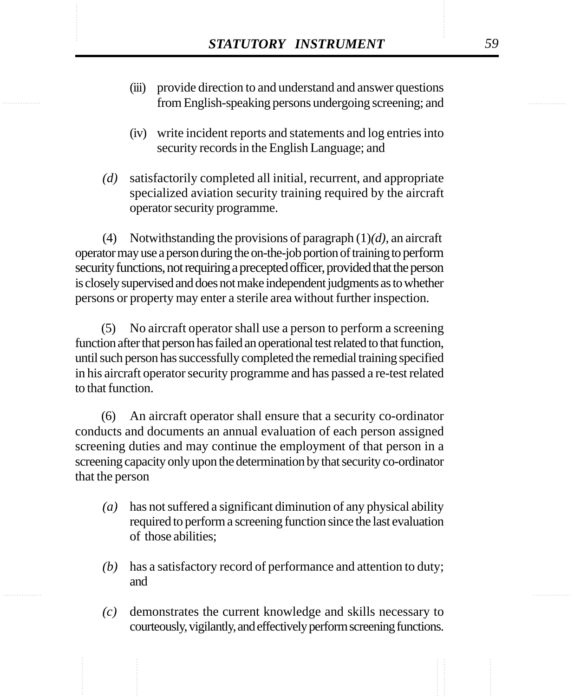- STATUTORY INSTRUMENT 59<br>
(iii) provide direction to and understand and answer questions<br>
from English-speaking persons undergoing screening: and (iii) provide direction to and understand and answer questions from English-speaking persons undergoing screening; and
	- (iv) write incident reports and statements and log entries into security records in the English Language; and
	- *(d)* satisfactorily completed all initial, recurrent, and appropriate specialized aviation security training required by the aircraft operator security programme.

(4) Notwithstanding the provisions of paragraph (1)*(d)*, an aircraft operator may use a person during the on-the-job portion of training to perform security functions, not requiring a precepted officer, provided that the person is closely supervised and does not make independent judgments as to whether persons or property may enter a sterile area without further inspection.

(5) No aircraft operator shall use a person to perform a screening function after that person has failed an operational test related to that function, until such person has successfully completed the remedial training specified in his aircraft operator security programme and has passed a re-test related to that function.

(6) An aircraft operator shall ensure that a security co-ordinator conducts and documents an annual evaluation of each person assigned screening duties and may continue the employment of that person in a screening capacity only upon the determination by that security co-ordinator that the person

- *(a)* has not suffered a significant diminution of any physical ability required to perform a screening function since the last evaluation of those abilities;
- *(b)* has a satisfactory record of performance and attention to duty; and
- *(c)* demonstrates the current knowledge and skills necessary to courteously, vigilantly, and effectively perform screening functions.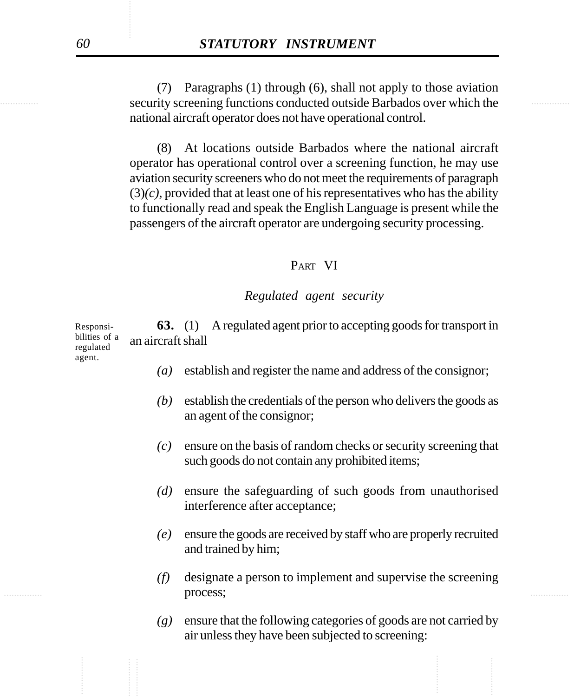security screening functions conducted outside Barbados over which the (7) Paragraphs (1) through (6), shall not apply to those aviation national aircraft operator does not have operational control.

> (8) At locations outside Barbados where the national aircraft operator has operational control over a screening function, he may use aviation security screeners who do not meet the requirements of paragraph  $(3)(c)$ , provided that at least one of his representatives who has the ability to functionally read and speak the English Language is present while the passengers of the aircraft operator are undergoing security processing.

#### PART VI

#### *Regulated agent security*

**63.** (1) A regulated agent prior to accepting goods for transport in an aircraft shall Responsibilities of a regulated

*(a)* establish and register the name and address of the consignor;

- *(b)* establish the credentials of the person who delivers the goods as an agent of the consignor;
- *(c)* ensure on the basis of random checks or security screening that such goods do not contain any prohibited items;
- *(d)* ensure the safeguarding of such goods from unauthorised interference after acceptance;
- *(e)* ensure the goods are received by staff who are properly recruited and trained by him;
- **process; the contract of the contract of the contract of the contract of the contract of the contract of the contract of the contract of the contract of the contract of the contract of the contract of the contract of th** *(f)* designate a person to implement and supervise the screening process;
	- *(g)* ensure that the following categories of goods are not carried by air unless they have been subjected to screening:

agent.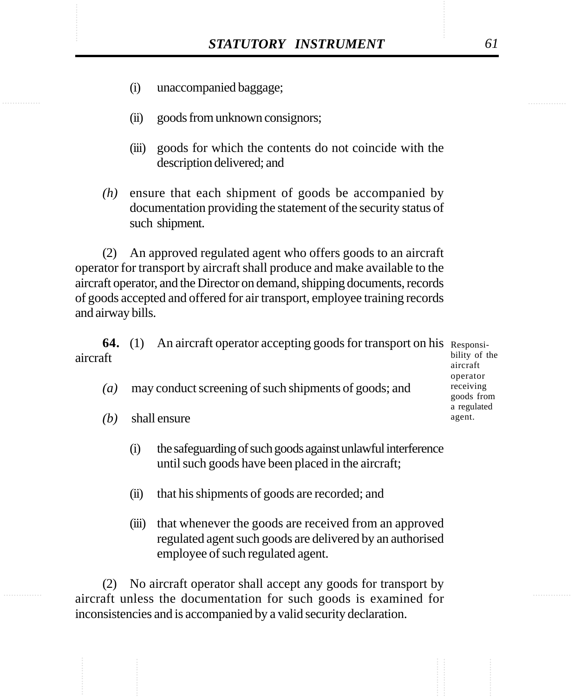- (i) unaccompanied baggage;
- (ii) goods from unknown consignors;
- (iii) goods for which the contents do not coincide with the description delivered; and
- *(h)* ensure that each shipment of goods be accompanied by documentation providing the statement of the security status of such shipment.

(2) An approved regulated agent who offers goods to an aircraft operator for transport by aircraft shall produce and make available to the aircraft operator, and the Director on demand, shipping documents, records of goods accepted and offered for air transport, employee training records and airway bills.

**64.** (1) An aircraft operator accepting goods for transport on his Responsiaircraft

- *(a)* may conduct screening of such shipments of goods; and
- *(b)* shall ensure
	- (i) the safeguarding of such goods against unlawful interference until such goods have been placed in the aircraft;
	- (ii) that his shipments of goods are recorded; and
	- (iii) that whenever the goods are received from an approved regulated agent such goods are delivered by an authorised employee of such regulated agent.

(2) No aircraft operator shall accept any goods for transport by aircraft unless the documentation for such goods is examined for inconsistencies and is accompanied by a valid security declaration.

bility of the aircraft operator receiving goods from a regulated agent.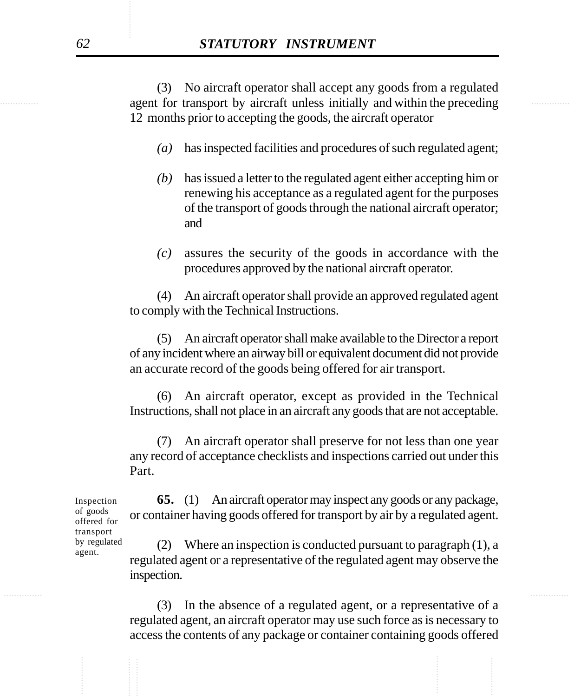example agent for transport by aircraft unless initially and within the preceding (3) No aircraft operator shall accept any goods from a regulated 12 months prior to accepting the goods, the aircraft operator

- *(a)* has inspected facilities and procedures of such regulated agent;
- *(b)* has issued a letter to the regulated agent either accepting him or renewing his acceptance as a regulated agent for the purposes of the transport of goods through the national aircraft operator; and
- *(c)* assures the security of the goods in accordance with the procedures approved by the national aircraft operator.

(4) An aircraft operator shall provide an approved regulated agent to comply with the Technical Instructions.

(5) An aircraft operator shall make available to the Director a report of any incident where an airway bill or equivalent document did not provide an accurate record of the goods being offered for air transport.

(6) An aircraft operator, except as provided in the Technical Instructions, shall not place in an aircraft any goods that are not acceptable.

(7) An aircraft operator shall preserve for not less than one year any record of acceptance checklists and inspections carried out under this Part.

**65.** (1) An aircraft operator may inspect any goods or any package, or container having goods offered for transport by air by a regulated agent.

(2) Where an inspection is conducted pursuant to paragraph (1), a regulated agent or a representative of the regulated agent may observe the inspection.

(3) In the absence of a regulated agent, or a representative of a regulated agent, an aircraft operator may use such force as is necessary to access the contents of any package or container containing goods offered

Inspection of goods offered for transport by regulated agent.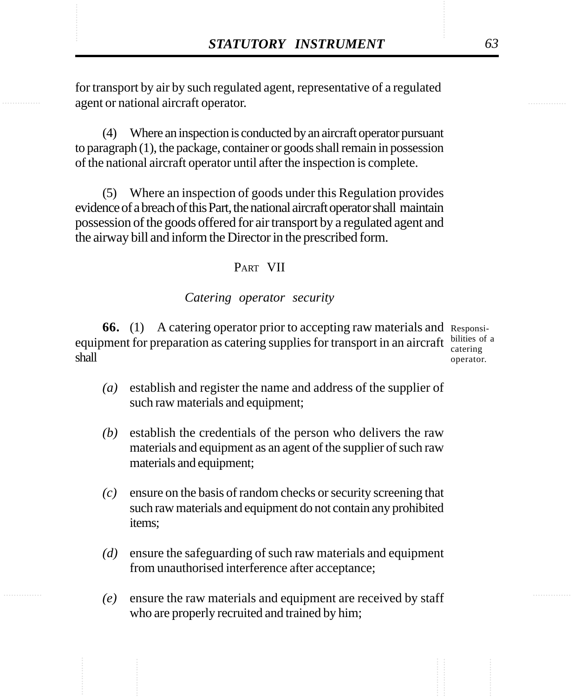**STATUTORY INSTRUMENT** 63<br>
for transport by air by such regulated agent, representative of a regulated agent or national aircraft operator. for transport by air by such regulated agent, representative of a regulated agent or national aircraft operator.

> (4) Where an inspection is conducted by an aircraft operator pursuant to paragraph (1), the package, container or goods shall remain in possession of the national aircraft operator until after the inspection is complete.

> (5) Where an inspection of goods under this Regulation provides evidence of a breach of this Part, the national aircraft operator shall maintain possession of the goods offered for air transport by a regulated agent and the airway bill and inform the Director in the prescribed form.

## PART VII

### *Catering operator security*

**66.** (1) A catering operator prior to accepting raw materials and Responsiequipment for preparation as catering supplies for transport in an aircraft  $\frac{\text{bilities of a}}{\text{cattering}}$ shall

catering operator.

- *(a)* establish and register the name and address of the supplier of such raw materials and equipment;
- *(b)* establish the credentials of the person who delivers the raw materials and equipment as an agent of the supplier of such raw materials and equipment;
- *(c)* ensure on the basis of random checks or security screening that such raw materials and equipment do not contain any prohibited items;
- *(d)* ensure the safeguarding of such raw materials and equipment from unauthorised interference after acceptance;
- *(e)* ensure the raw materials and equipment are received by staff who are properly recruited and trained by him;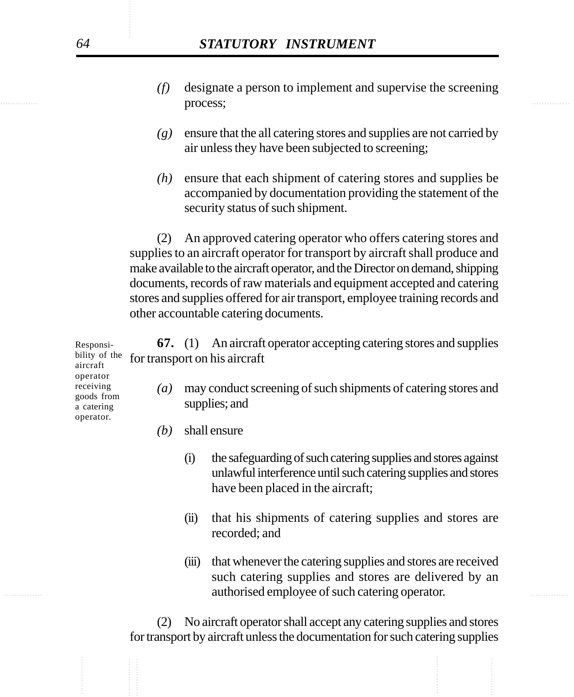- **DIOCESS: DIOCESS:** *DIOCESS: DIOCESS: O (f)* designate a person to implement and supervise the screening process;
	- *(g)* ensure that the all catering stores and supplies are not carried by air unless they have been subjected to screening;
	- *(h)* ensure that each shipment of catering stores and supplies be accompanied by documentation providing the statement of the security status of such shipment.

(2) An approved catering operator who offers catering stores and supplies to an aircraft operator for transport by aircraft shall produce and make available to the aircraft operator, and the Director on demand, shipping documents, records of raw materials and equipment accepted and catering stores and supplies offered for air transport, employee training records and other accountable catering documents.

| Responsi-<br>bility of the<br>aircraft<br>operator<br>receiving<br>goods from<br>a catering<br>operator. | <b>67.</b> (1) An aircraft operator accepting catering stores and supplies<br>for transport on his aircraft |                                                                                 |                                                                                                                                                                     |  |
|----------------------------------------------------------------------------------------------------------|-------------------------------------------------------------------------------------------------------------|---------------------------------------------------------------------------------|---------------------------------------------------------------------------------------------------------------------------------------------------------------------|--|
|                                                                                                          | $\left(a\right)$                                                                                            | may conduct screening of such shipments of catering stores and<br>supplies; and |                                                                                                                                                                     |  |
|                                                                                                          | (b)                                                                                                         |                                                                                 | shall ensure                                                                                                                                                        |  |
|                                                                                                          |                                                                                                             | $\left( 1\right)$                                                               | the safeguarding of such catering supplies and stores against<br>unlawful interference until such catering supplies and stores<br>have been placed in the aircraft; |  |

- (ii) that his shipments of catering supplies and stores are recorded; and
- ............... ............... authorised employee of such catering operator. (iii) that whenever the catering supplies and stores are received such catering supplies and stores are delivered by an

(2) No aircraft operator shall accept any catering supplies and stores for transport by aircraft unless the documentation for such catering supplies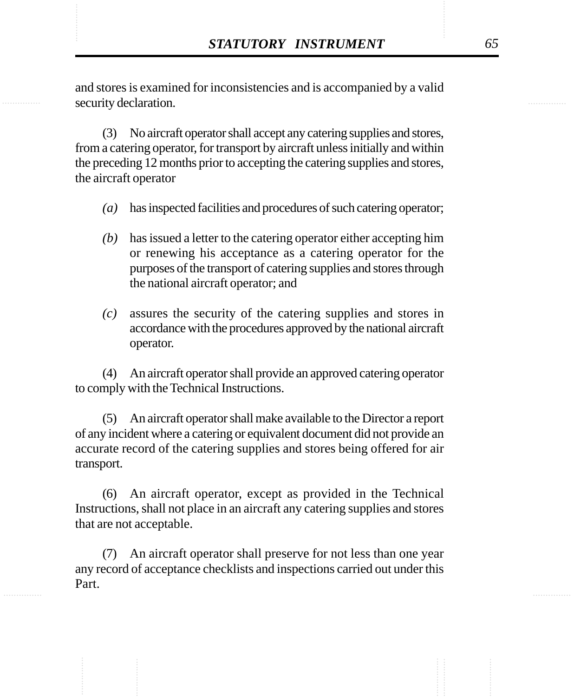STATUTORY INSTRUMENT 65<br>and stores is examined for inconsistencies and is accompanied by a valid<br>security declaration. and stores is examined for inconsistencies and is accompanied by a valid security declaration.

> (3) No aircraft operator shall accept any catering supplies and stores, from a catering operator, for transport by aircraft unless initially and within the preceding 12 months prior to accepting the catering supplies and stores, the aircraft operator

- *(a)* has inspected facilities and procedures of such catering operator;
- *(b)* has issued a letter to the catering operator either accepting him or renewing his acceptance as a catering operator for the purposes of the transport of catering supplies and stores through the national aircraft operator; and
- *(c)* assures the security of the catering supplies and stores in accordance with the procedures approved by the national aircraft operator.

(4) An aircraft operator shall provide an approved catering operator to comply with the Technical Instructions.

(5) An aircraft operator shall make available to the Director a report of any incident where a catering or equivalent document did not provide an accurate record of the catering supplies and stores being offered for air transport.

(6) An aircraft operator, except as provided in the Technical Instructions, shall not place in an aircraft any catering supplies and stores that are not acceptable.

(7) An aircraft operator shall preserve for not less than one year any record of acceptance checklists and inspections carried out under this Part.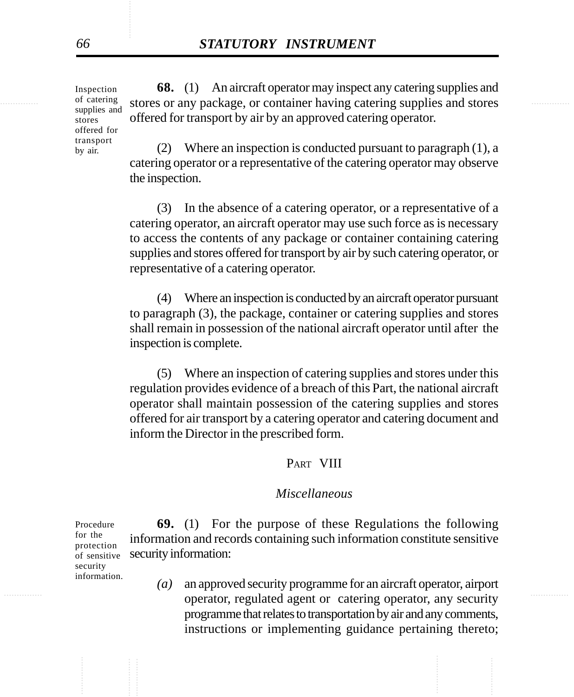of catering stores or any package, or container having catering supplies and stores **68.** (1) An aircraft operator may inspect any catering supplies and offered for transport by air by an approved catering operator.

> (2) Where an inspection is conducted pursuant to paragraph (1), a catering operator or a representative of the catering operator may observe the inspection.

> (3) In the absence of a catering operator, or a representative of a catering operator, an aircraft operator may use such force as is necessary to access the contents of any package or container containing catering supplies and stores offered for transport by air by such catering operator, or representative of a catering operator.

> (4) Where an inspection is conducted by an aircraft operator pursuant to paragraph (3), the package, container or catering supplies and stores shall remain in possession of the national aircraft operator until after the inspection is complete.

> (5) Where an inspection of catering supplies and stores under this regulation provides evidence of a breach of this Part, the national aircraft operator shall maintain possession of the catering supplies and stores offered for air transport by a catering operator and catering document and inform the Director in the prescribed form.

#### PART VIII

#### *Miscellaneous*

**69.** (1) For the purpose of these Regulations the following information and records containing such information constitute sensitive security information: Procedure protection of sensitive

............... ............... operator, regulated agent or catering operator, any security *(a)* an approved security programme for an aircraft operator, airport programme that relates to transportation by air and any comments, instructions or implementing guidance pertaining thereto;

Inspection of catering supplies and stores offered for transport by air.

for the

security information.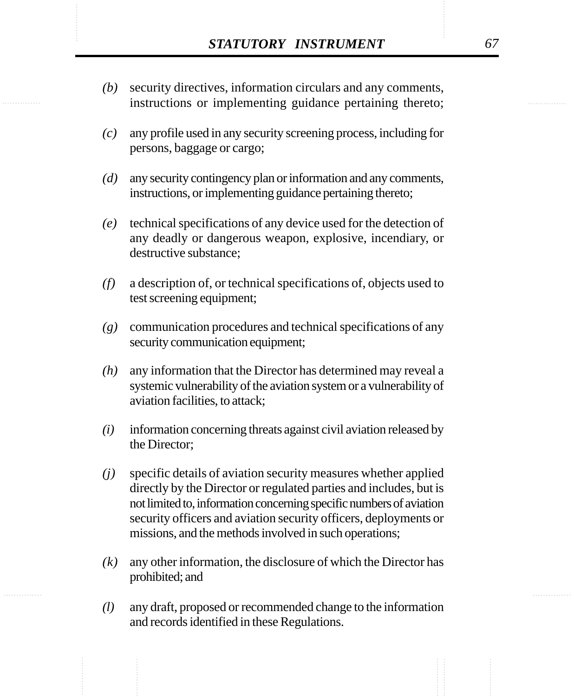- **STATUTORY INSTRUMENT** 67<br>(b) security directives, information circulars and any comments, instructions or implementing guidance pertaining thereto: *(b)* security directives, information circulars and any comments, instructions or implementing guidance pertaining thereto;
	- *(c)* any profile used in any security screening process, including for persons, baggage or cargo;
	- *(d)* any security contingency plan or information and any comments, instructions, or implementing guidance pertaining thereto;
	- *(e)* technical specifications of any device used for the detection of any deadly or dangerous weapon, explosive, incendiary, or destructive substance;
	- *(f)* a description of, or technical specifications of, objects used to test screening equipment;
	- *(g)* communication procedures and technical specifications of any security communication equipment;
	- *(h)* any information that the Director has determined may reveal a systemic vulnerability of the aviation system or a vulnerability of aviation facilities, to attack;
	- *(i)* information concerning threats against civil aviation released by the Director;
	- *(j)* specific details of aviation security measures whether applied directly by the Director or regulated parties and includes, but is not limited to, information concerning specific numbers of aviation security officers and aviation security officers, deployments or missions, and the methods involved in such operations;
	- *(k)* any other information, the disclosure of which the Director has prohibited; and
	- *(l)* any draft, proposed or recommended change to the information and records identified in these Regulations.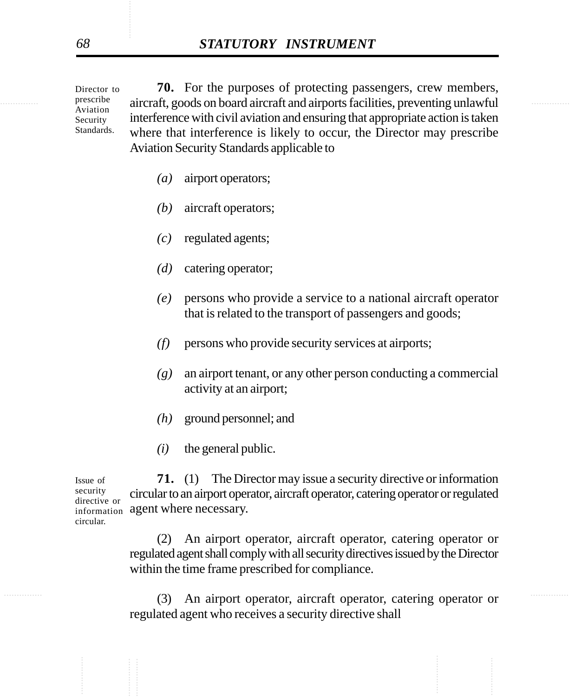expresserible aircraft, goods on board aircraft and airports facilities, preventing unlawful **70.** For the purposes of protecting passengers, crew members, interference with civil aviation and ensuring that appropriate action is taken where that interference is likely to occur, the Director may prescribe Aviation Security Standards applicable to

- *(a)* airport operators;
- *(b)* aircraft operators;
- *(c)* regulated agents;
- *(d)* catering operator;
- *(e)* persons who provide a service to a national aircraft operator that is related to the transport of passengers and goods;
- *(f)* persons who provide security services at airports;
- *(g)* an airport tenant, or any other person conducting a commercial activity at an airport;
- *(h)* ground personnel; and
- *(i)* the general public.

**71.** (1) The Director may issue a security directive or information circular to an airport operator, aircraft operator, catering operator or regulated information agent where necessary. Issue of security directive or circular.

> (2) An airport operator, aircraft operator, catering operator or regulated agent shall comply with all security directives issued by the Director within the time frame prescribed for compliance.

............... ............... (3) An airport operator, aircraft operator, catering operator or regulated agent who receives a security directive shall

Director to prescribe Aviation Security Standards.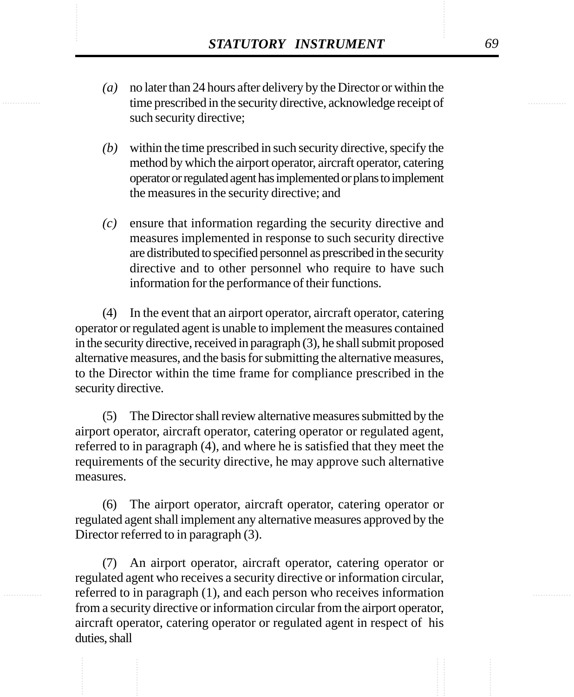- **STATUTORY INSTRUMENT** 69<br>(a) no later than 24 hours after delivery by the Director or within the<br>time prescribed in the security directive. acknowledge receipt of *(a)* no later than 24 hours after delivery by the Director or within the time prescribed in the security directive, acknowledge receipt of such security directive;
	- *(b)* within the time prescribed in such security directive, specify the method by which the airport operator, aircraft operator, catering operator or regulated agent has implemented or plans to implement the measures in the security directive; and
	- *(c)* ensure that information regarding the security directive and measures implemented in response to such security directive are distributed to specified personnel as prescribed in the security directive and to other personnel who require to have such information for the performance of their functions.

(4) In the event that an airport operator, aircraft operator, catering operator or regulated agent is unable to implement the measures contained in the security directive, received in paragraph (3), he shall submit proposed alternative measures, and the basis for submitting the alternative measures, to the Director within the time frame for compliance prescribed in the security directive.

(5) The Director shall review alternative measures submitted by the airport operator, aircraft operator, catering operator or regulated agent, referred to in paragraph (4), and where he is satisfied that they meet the requirements of the security directive, he may approve such alternative measures.

(6) The airport operator, aircraft operator, catering operator or regulated agent shall implement any alternative measures approved by the Director referred to in paragraph (3).

(7) An airport operator, aircraft operator, catering operator or regulated agent who receives a security directive or information circular, referred to in paragraph (1), and each person who receives information from a security directive or information circular from the airport operator, aircraft operator, catering operator or regulated agent in respect of his duties, shall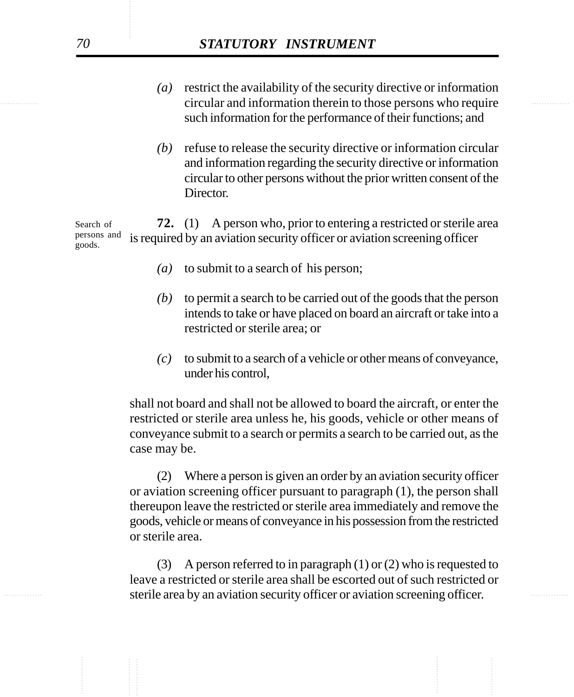- ............... ............... circular and information therein to those persons who require *(a)* restrict the availability of the security directive or information such information for the performance of their functions; and
	- *(b)* refuse to release the security directive or information circular and information regarding the security directive or information circular to other persons without the prior written consent of the Director.

**72.** (1) A person who, prior to entering a restricted or sterile area is required by an aviation security officer or aviation screening officer Search of persons and goods.

- *(a)* to submit to a search of his person;
- *(b)* to permit a search to be carried out of the goods that the person intends to take or have placed on board an aircraft or take into a restricted or sterile area; or
- *(c)* to submit to a search of a vehicle or other means of conveyance, under his control,

shall not board and shall not be allowed to board the aircraft, or enter the restricted or sterile area unless he, his goods, vehicle or other means of conveyance submit to a search or permits a search to be carried out, as the case may be.

(2) Where a person is given an order by an aviation security officer or aviation screening officer pursuant to paragraph (1), the person shall thereupon leave the restricted or sterile area immediately and remove the goods, vehicle or means of conveyance in his possession from the restricted or sterile area.

............... ............... sterile area by an aviation security officer or aviation screening officer. (3) A person referred to in paragraph (1) or (2) who is requested to leave a restricted or sterile area shall be escorted out of such restricted or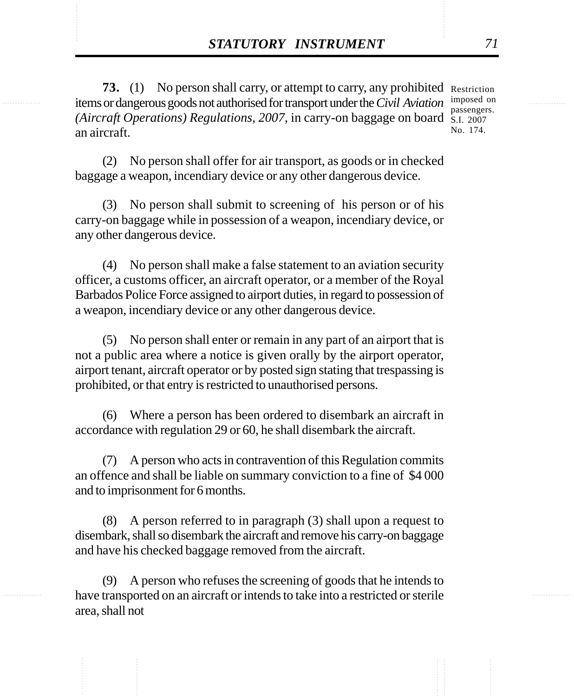**STATUTORY INSTRUMENT** 71<br> **73.** (1) No person shall carry, or attempt to carry, any prohibited Restriction<br>
items or dangerous goods not authorised for transport under the *Civil Aviation* imposed on **73.** (1) No person shall carry, or attempt to carry, any prohibited Restriction items or dangerous goods not authorised for transport under the *Civil Aviation* imposed on *(Aircraft Operations) Regulations, 2007*, in carry-on baggage on board S.I. 2007 an aircraft. passengers. No. 174.

> (2) No person shall offer for air transport, as goods or in checked baggage a weapon, incendiary device or any other dangerous device.

> (3) No person shall submit to screening of his person or of his carry-on baggage while in possession of a weapon, incendiary device, or any other dangerous device.

> (4) No person shall make a false statement to an aviation security officer, a customs officer, an aircraft operator, or a member of the Royal Barbados Police Force assigned to airport duties, in regard to possession of a weapon, incendiary device or any other dangerous device.

> (5) No person shall enter or remain in any part of an airport that is not a public area where a notice is given orally by the airport operator, airport tenant, aircraft operator or by posted sign stating that trespassing is prohibited, or that entry is restricted to unauthorised persons.

> (6) Where a person has been ordered to disembark an aircraft in accordance with regulation 29 or 60, he shall disembark the aircraft.

> (7) A person who acts in contravention of this Regulation commits an offence and shall be liable on summary conviction to a fine of \$4 000 and to imprisonment for 6 months.

> (8) A person referred to in paragraph (3) shall upon a request to disembark, shall so disembark the aircraft and remove his carry-on baggage and have his checked baggage removed from the aircraft.

> (9) A person who refuses the screening of goods that he intends to have transported on an aircraft or intends to take into a restricted or sterile area, shall not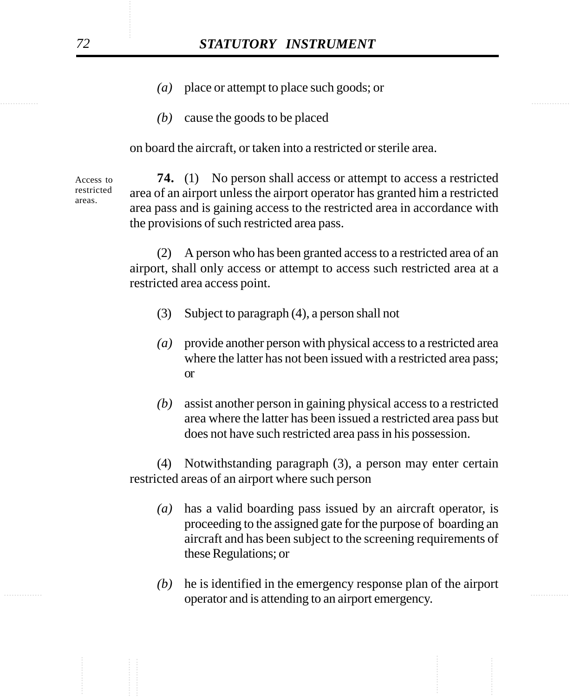- *(a)* place or attempt to place such goods; or
- *(b)* cause the goods to be placed

on board the aircraft, or taken into a restricted or sterile area.

**74.** (1) No person shall access or attempt to access a restricted area of an airport unless the airport operator has granted him a restricted area pass and is gaining access to the restricted area in accordance with the provisions of such restricted area pass. Access to restricted

> (2) A person who has been granted access to a restricted area of an airport, shall only access or attempt to access such restricted area at a restricted area access point.

- (3) Subject to paragraph (4), a person shall not
- *(a)* provide another person with physical access to a restricted area where the latter has not been issued with a restricted area pass; or
- *(b)* assist another person in gaining physical access to a restricted area where the latter has been issued a restricted area pass but does not have such restricted area pass in his possession.

(4) Notwithstanding paragraph (3), a person may enter certain restricted areas of an airport where such person

- *(a)* has a valid boarding pass issued by an aircraft operator, is proceeding to the assigned gate for the purpose of boarding an aircraft and has been subject to the screening requirements of these Regulations; or
- operator and is attending to an airport emergency. *(b)* he is identified in the emergency response plan of the airport

areas.